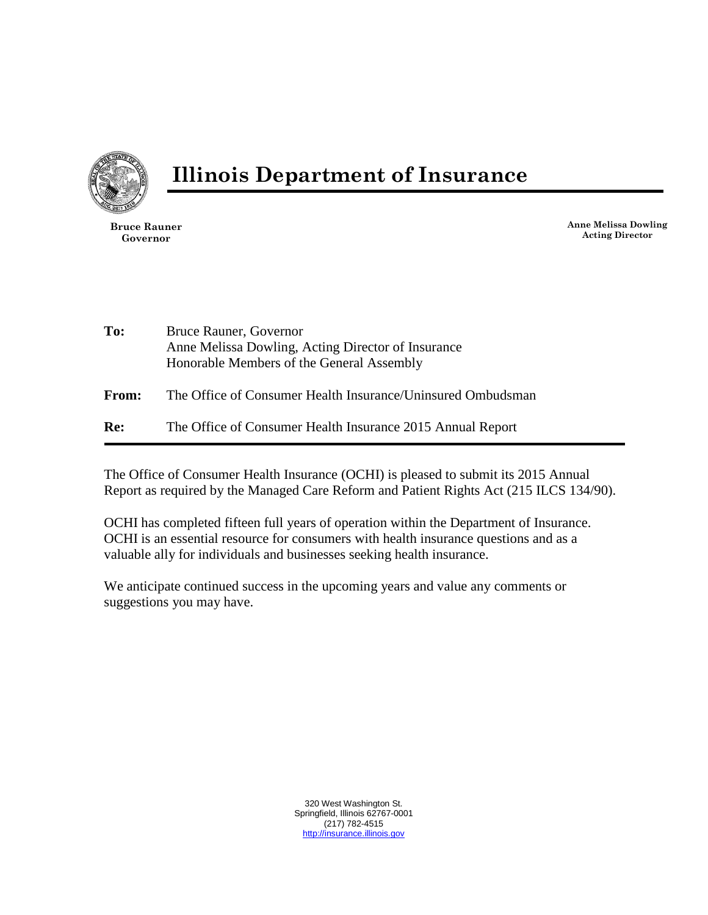

**Illinois Department of Insurance**

**Bruce Rauner Governor**

**Anne Melissa Dowling Acting Director**

- **To:** Bruce Rauner, Governor Anne Melissa Dowling, Acting Director of Insurance Honorable Members of the General Assembly
- **From:** The Office of Consumer Health Insurance/Uninsured Ombudsman
- **Re:** The Office of Consumer Health Insurance 2015 Annual Report

The Office of Consumer Health Insurance (OCHI) is pleased to submit its 2015 Annual Report as required by the Managed Care Reform and Patient Rights Act (215 ILCS 134/90).

OCHI has completed fifteen full years of operation within the Department of Insurance. OCHI is an essential resource for consumers with health insurance questions and as a valuable ally for individuals and businesses seeking health insurance.

We anticipate continued success in the upcoming years and value any comments or suggestions you may have.

> 320 West Washington St. Springfield, Illinois 62767-0001 (217) 782-4515 [http://insurance.illinois.gov](http://insurance.illinois.gov/)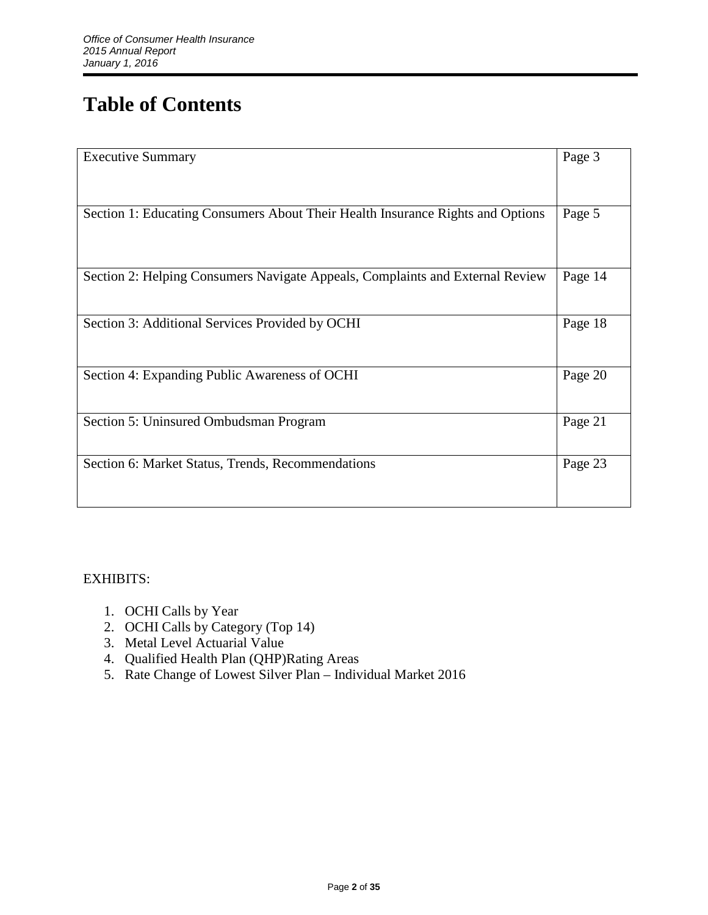# **Table of Contents**

| <b>Executive Summary</b>                                                       | Page 3  |
|--------------------------------------------------------------------------------|---------|
| Section 1: Educating Consumers About Their Health Insurance Rights and Options | Page 5  |
|                                                                                |         |
| Section 2: Helping Consumers Navigate Appeals, Complaints and External Review  | Page 14 |
| Section 3: Additional Services Provided by OCHI                                | Page 18 |
| Section 4: Expanding Public Awareness of OCHI                                  | Page 20 |
| Section 5: Uninsured Ombudsman Program                                         | Page 21 |
| Section 6: Market Status, Trends, Recommendations                              | Page 23 |

# EXHIBITS:

- 1. OCHI Calls by Year
- 2. OCHI Calls by Category (Top 14)
- 3. Metal Level Actuarial Value
- 4. Qualified Health Plan (QHP)Rating Areas
- 5. Rate Change of Lowest Silver Plan Individual Market 2016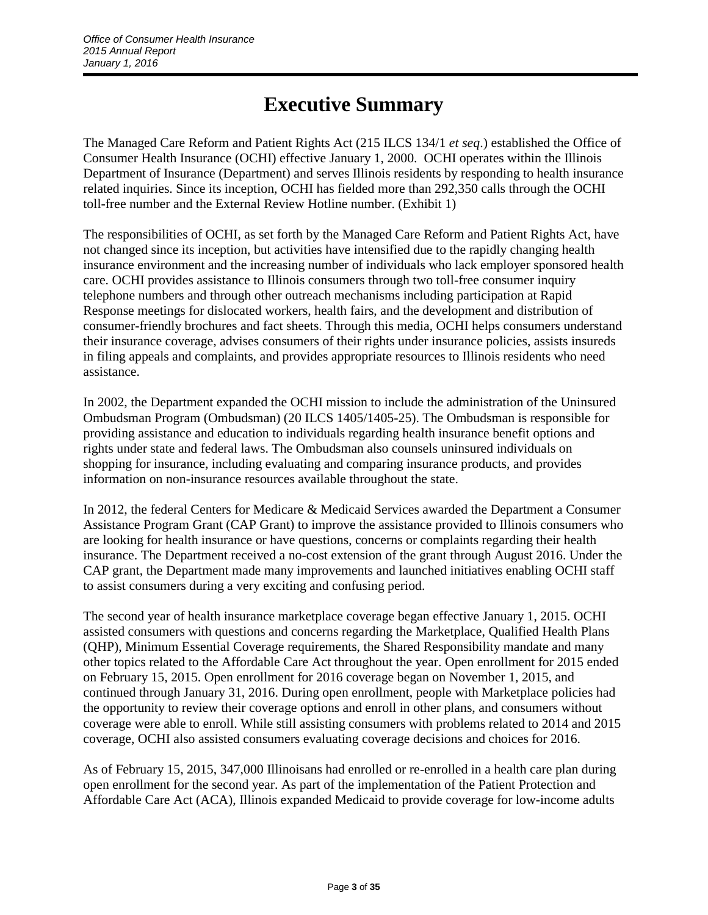# **Executive Summary**

The Managed Care Reform and Patient Rights Act (215 ILCS 134/1 *et seq*.) established the Office of Consumer Health Insurance (OCHI) effective January 1, 2000. OCHI operates within the Illinois Department of Insurance (Department) and serves Illinois residents by responding to health insurance related inquiries. Since its inception, OCHI has fielded more than 292,350 calls through the OCHI toll-free number and the External Review Hotline number. (Exhibit 1)

The responsibilities of OCHI, as set forth by the Managed Care Reform and Patient Rights Act, have not changed since its inception, but activities have intensified due to the rapidly changing health insurance environment and the increasing number of individuals who lack employer sponsored health care. OCHI provides assistance to Illinois consumers through two toll-free consumer inquiry telephone numbers and through other outreach mechanisms including participation at Rapid Response meetings for dislocated workers, health fairs, and the development and distribution of consumer-friendly brochures and fact sheets. Through this media, OCHI helps consumers understand their insurance coverage, advises consumers of their rights under insurance policies, assists insureds in filing appeals and complaints, and provides appropriate resources to Illinois residents who need assistance.

In 2002, the Department expanded the OCHI mission to include the administration of the Uninsured Ombudsman Program (Ombudsman) (20 ILCS 1405/1405-25). The Ombudsman is responsible for providing assistance and education to individuals regarding health insurance benefit options and rights under state and federal laws. The Ombudsman also counsels uninsured individuals on shopping for insurance, including evaluating and comparing insurance products, and provides information on non-insurance resources available throughout the state.

In 2012, the federal Centers for Medicare & Medicaid Services awarded the Department a Consumer Assistance Program Grant (CAP Grant) to improve the assistance provided to Illinois consumers who are looking for health insurance or have questions, concerns or complaints regarding their health insurance. The Department received a no-cost extension of the grant through August 2016. Under the CAP grant, the Department made many improvements and launched initiatives enabling OCHI staff to assist consumers during a very exciting and confusing period.

The second year of health insurance marketplace coverage began effective January 1, 2015. OCHI assisted consumers with questions and concerns regarding the Marketplace, Qualified Health Plans (QHP), Minimum Essential Coverage requirements, the Shared Responsibility mandate and many other topics related to the Affordable Care Act throughout the year. Open enrollment for 2015 ended on February 15, 2015. Open enrollment for 2016 coverage began on November 1, 2015, and continued through January 31, 2016. During open enrollment, people with Marketplace policies had the opportunity to review their coverage options and enroll in other plans, and consumers without coverage were able to enroll. While still assisting consumers with problems related to 2014 and 2015 coverage, OCHI also assisted consumers evaluating coverage decisions and choices for 2016.

As of February 15, 2015, 347,000 Illinoisans had enrolled or re-enrolled in a health care plan during open enrollment for the second year. As part of the implementation of the Patient Protection and Affordable Care Act (ACA), Illinois expanded Medicaid to provide coverage for low-income adults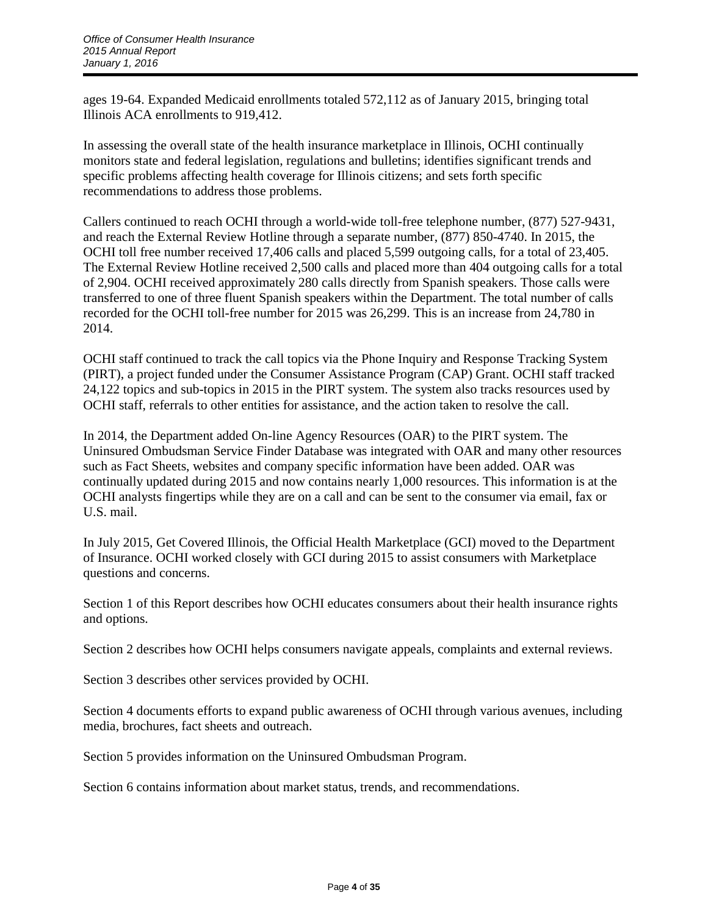ages 19-64. Expanded Medicaid enrollments totaled 572,112 as of January 2015, bringing total Illinois ACA enrollments to 919,412.

In assessing the overall state of the health insurance marketplace in Illinois, OCHI continually monitors state and federal legislation, regulations and bulletins; identifies significant trends and specific problems affecting health coverage for Illinois citizens; and sets forth specific recommendations to address those problems.

Callers continued to reach OCHI through a world-wide toll-free telephone number, (877) 527-9431, and reach the External Review Hotline through a separate number, (877) 850-4740. In 2015, the OCHI toll free number received 17,406 calls and placed 5,599 outgoing calls, for a total of 23,405. The External Review Hotline received 2,500 calls and placed more than 404 outgoing calls for a total of 2,904. OCHI received approximately 280 calls directly from Spanish speakers. Those calls were transferred to one of three fluent Spanish speakers within the Department. The total number of calls recorded for the OCHI toll-free number for 2015 was 26,299. This is an increase from 24,780 in 2014.

OCHI staff continued to track the call topics via the Phone Inquiry and Response Tracking System (PIRT), a project funded under the Consumer Assistance Program (CAP) Grant. OCHI staff tracked 24,122 topics and sub-topics in 2015 in the PIRT system. The system also tracks resources used by OCHI staff, referrals to other entities for assistance, and the action taken to resolve the call.

In 2014, the Department added On-line Agency Resources (OAR) to the PIRT system. The Uninsured Ombudsman Service Finder Database was integrated with OAR and many other resources such as Fact Sheets, websites and company specific information have been added. OAR was continually updated during 2015 and now contains nearly 1,000 resources. This information is at the OCHI analysts fingertips while they are on a call and can be sent to the consumer via email, fax or U.S. mail.

In July 2015, Get Covered Illinois, the Official Health Marketplace (GCI) moved to the Department of Insurance. OCHI worked closely with GCI during 2015 to assist consumers with Marketplace questions and concerns.

Section 1 of this Report describes how OCHI educates consumers about their health insurance rights and options.

Section 2 describes how OCHI helps consumers navigate appeals, complaints and external reviews.

Section 3 describes other services provided by OCHI.

Section 4 documents efforts to expand public awareness of OCHI through various avenues, including media, brochures, fact sheets and outreach.

Section 5 provides information on the Uninsured Ombudsman Program.

Section 6 contains information about market status, trends, and recommendations.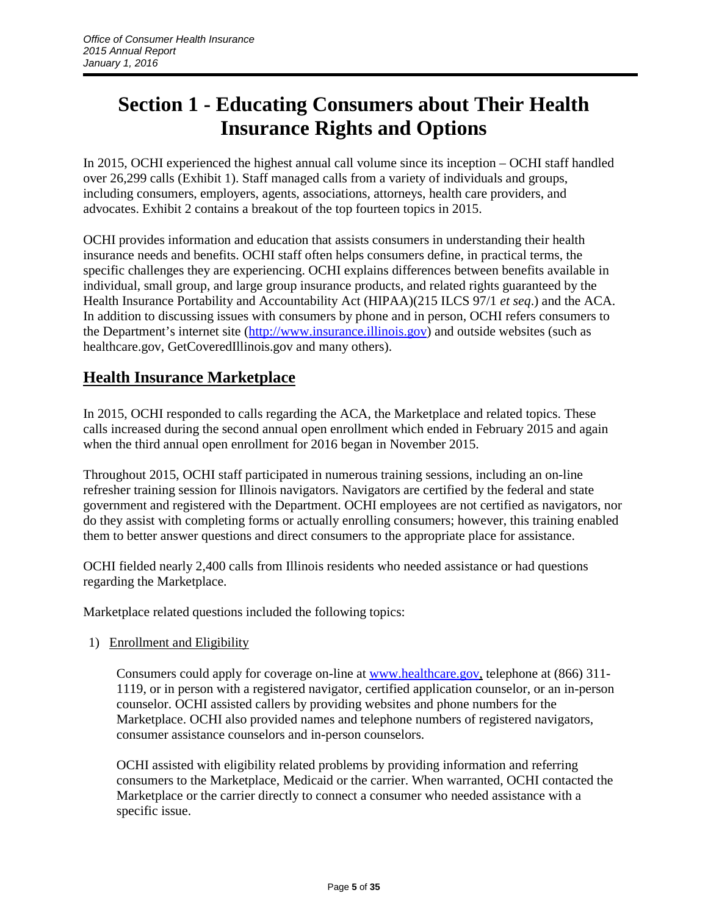# **Section 1 - Educating Consumers about Their Health Insurance Rights and Options**

In 2015, OCHI experienced the highest annual call volume since its inception – OCHI staff handled over 26,299 calls (Exhibit 1). Staff managed calls from a variety of individuals and groups, including consumers, employers, agents, associations, attorneys, health care providers, and advocates. Exhibit 2 contains a breakout of the top fourteen topics in 2015.

OCHI provides information and education that assists consumers in understanding their health insurance needs and benefits. OCHI staff often helps consumers define, in practical terms, the specific challenges they are experiencing. OCHI explains differences between benefits available in individual, small group, and large group insurance products, and related rights guaranteed by the Health Insurance Portability and Accountability Act (HIPAA)(215 ILCS 97/1 *et seq*.) and the ACA. In addition to discussing issues with consumers by phone and in person, OCHI refers consumers to the Department's internet site [\(http://www.insurance.illinois.gov\)](http://www.insurance.illinois.gov/) and outside websites (such as healthcare.gov, GetCoveredIllinois.gov and many others).

# **Health Insurance Marketplace**

In 2015, OCHI responded to calls regarding the ACA, the Marketplace and related topics. These calls increased during the second annual open enrollment which ended in February 2015 and again when the third annual open enrollment for 2016 began in November 2015.

Throughout 2015, OCHI staff participated in numerous training sessions, including an on-line refresher training session for Illinois navigators. Navigators are certified by the federal and state government and registered with the Department. OCHI employees are not certified as navigators, nor do they assist with completing forms or actually enrolling consumers; however, this training enabled them to better answer questions and direct consumers to the appropriate place for assistance.

OCHI fielded nearly 2,400 calls from Illinois residents who needed assistance or had questions regarding the Marketplace.

Marketplace related questions included the following topics:

### 1) Enrollment and Eligibility

Consumers could apply for coverage on-line at [www.healthcare.gov,](http://www.healthcare.gov/) telephone at (866) 311-1119, or in person with a registered navigator, certified application counselor, or an in-person counselor. OCHI assisted callers by providing websites and phone numbers for the Marketplace. OCHI also provided names and telephone numbers of registered navigators, consumer assistance counselors and in-person counselors.

OCHI assisted with eligibility related problems by providing information and referring consumers to the Marketplace, Medicaid or the carrier. When warranted, OCHI contacted the Marketplace or the carrier directly to connect a consumer who needed assistance with a specific issue.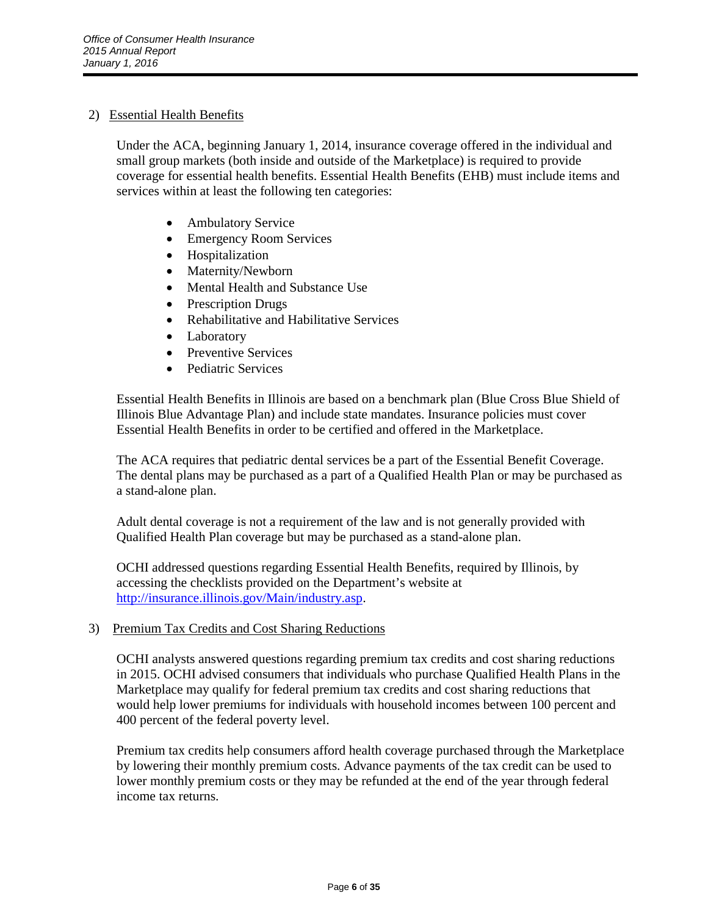# 2) Essential Health Benefits

Under the ACA, beginning January 1, 2014, insurance coverage offered in the individual and small group markets (both inside and outside of the Marketplace) is required to provide coverage for essential health benefits. Essential Health Benefits (EHB) must include items and services within at least the following ten categories:

- Ambulatory Service
- Emergency Room Services
- Hospitalization
- Maternity/Newborn
- Mental Health and Substance Use
- Prescription Drugs
- Rehabilitative and Habilitative Services
- Laboratory
- Preventive Services
- Pediatric Services

Essential Health Benefits in Illinois are based on a benchmark plan (Blue Cross Blue Shield of Illinois Blue Advantage Plan) and include state mandates. Insurance policies must cover Essential Health Benefits in order to be certified and offered in the Marketplace.

The ACA requires that pediatric dental services be a part of the Essential Benefit Coverage. The dental plans may be purchased as a part of a Qualified Health Plan or may be purchased as a stand-alone plan.

Adult dental coverage is not a requirement of the law and is not generally provided with Qualified Health Plan coverage but may be purchased as a stand-alone plan.

OCHI addressed questions regarding Essential Health Benefits, required by Illinois, by accessing the checklists provided on the Department's website at [http://insurance.illinois.gov/Main/industry.asp.](http://insurance.illinois.gov/Main/industry.asp)

3) Premium Tax Credits and Cost Sharing Reductions

OCHI analysts answered questions regarding premium tax credits and cost sharing reductions in 2015. OCHI advised consumers that individuals who purchase Qualified Health Plans in the Marketplace may qualify for federal premium tax credits and cost sharing reductions that would help lower premiums for individuals with household incomes between 100 percent and 400 percent of the federal poverty level.

Premium tax credits help consumers afford health coverage purchased through the Marketplace by lowering their monthly premium costs. Advance payments of the tax credit can be used to lower monthly premium costs or they may be refunded at the end of the year through federal income tax returns.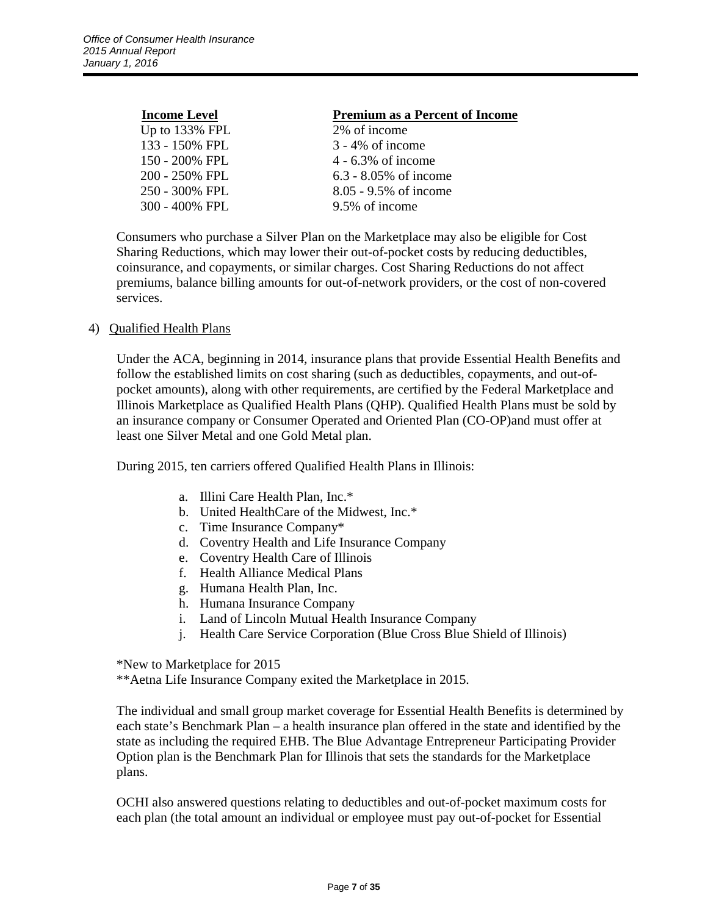| <b>Income Level</b> | <b>Premium as a Percent of Income</b> |
|---------------------|---------------------------------------|
| Up to 133% FPL      | 2% of income                          |
| 133 - 150% FPL      | $3 - 4\%$ of income                   |
| 150 - 200% FPL      | $4 - 6.3\%$ of income                 |
| 200 - 250% FPL      | $6.3 - 8.05\%$ of income              |
| 250 - 300% FPL      | 8.05 - 9.5% of income                 |
| 300 - 400% FPL      | 9.5% of income                        |

Consumers who purchase a Silver Plan on the Marketplace may also be eligible for Cost Sharing Reductions, which may lower their out-of-pocket costs by reducing deductibles, coinsurance, and copayments, or similar charges. Cost Sharing Reductions do not affect premiums, balance billing amounts for out-of-network providers, or the cost of non-covered services.

### 4) Qualified Health Plans

Under the ACA, beginning in 2014, insurance plans that provide Essential Health Benefits and follow the established limits on cost sharing (such as deductibles, copayments, and out-ofpocket amounts), along with other requirements, are certified by the Federal Marketplace and Illinois Marketplace as Qualified Health Plans (QHP). Qualified Health Plans must be sold by an insurance company or Consumer Operated and Oriented Plan (CO-OP)and must offer at least one Silver Metal and one Gold Metal plan.

During 2015, ten carriers offered Qualified Health Plans in Illinois:

- a. Illini Care Health Plan, Inc.\*
- b. United HealthCare of the Midwest, Inc.\*
- c. Time Insurance Company\*
- d. Coventry Health and Life Insurance Company
- e. Coventry Health Care of Illinois
- f. Health Alliance Medical Plans
- g. Humana Health Plan, Inc.
- h. Humana Insurance Company
- i. Land of Lincoln Mutual Health Insurance Company
- j. Health Care Service Corporation (Blue Cross Blue Shield of Illinois)

\*New to Marketplace for 2015

\*\*Aetna Life Insurance Company exited the Marketplace in 2015.

The individual and small group market coverage for Essential Health Benefits is determined by each state's Benchmark Plan – a health insurance plan offered in the state and identified by the state as including the required EHB. The Blue Advantage Entrepreneur Participating Provider Option plan is the Benchmark Plan for Illinois that sets the standards for the Marketplace plans.

OCHI also answered questions relating to deductibles and out-of-pocket maximum costs for each plan (the total amount an individual or employee must pay out-of-pocket for Essential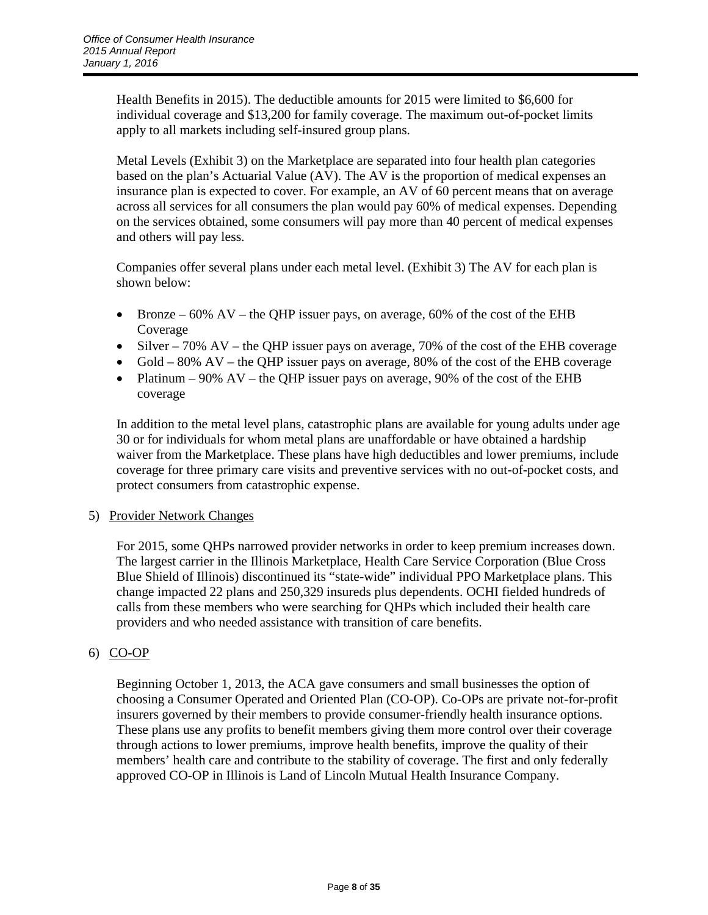Health Benefits in 2015). The deductible amounts for 2015 were limited to \$6,600 for individual coverage and \$13,200 for family coverage. The maximum out-of-pocket limits apply to all markets including self-insured group plans.

Metal Levels (Exhibit 3) on the Marketplace are separated into four health plan categories based on the plan's Actuarial Value (AV). The AV is the proportion of medical expenses an insurance plan is expected to cover. For example, an AV of 60 percent means that on average across all services for all consumers the plan would pay 60% of medical expenses. Depending on the services obtained, some consumers will pay more than 40 percent of medical expenses and others will pay less.

Companies offer several plans under each metal level. (Exhibit 3) The AV for each plan is shown below:

- Bronze  $60\%$  AV the QHP issuer pays, on average,  $60\%$  of the cost of the EHB Coverage
- Silver 70% AV the QHP issuer pays on average, 70% of the cost of the EHB coverage
- Gold 80% AV the QHP issuer pays on average, 80% of the cost of the EHB coverage
- Platinum 90% AV the QHP issuer pays on average, 90% of the cost of the EHB coverage

In addition to the metal level plans, catastrophic plans are available for young adults under age 30 or for individuals for whom metal plans are unaffordable or have obtained a hardship waiver from the Marketplace. These plans have high deductibles and lower premiums, include coverage for three primary care visits and preventive services with no out-of-pocket costs, and protect consumers from catastrophic expense.

### 5) Provider Network Changes

For 2015, some QHPs narrowed provider networks in order to keep premium increases down. The largest carrier in the Illinois Marketplace, Health Care Service Corporation (Blue Cross Blue Shield of Illinois) discontinued its "state-wide" individual PPO Marketplace plans. This change impacted 22 plans and 250,329 insureds plus dependents. OCHI fielded hundreds of calls from these members who were searching for QHPs which included their health care providers and who needed assistance with transition of care benefits.

# 6) CO-OP

Beginning October 1, 2013, the ACA gave consumers and small businesses the option of choosing a Consumer Operated and Oriented Plan (CO-OP). Co-OPs are private not-for-profit insurers governed by their members to provide consumer-friendly health insurance options. These plans use any profits to benefit members giving them more control over their coverage through actions to lower premiums, improve health benefits, improve the quality of their members' health care and contribute to the stability of coverage. The first and only federally approved CO-OP in Illinois is Land of Lincoln Mutual Health Insurance Company.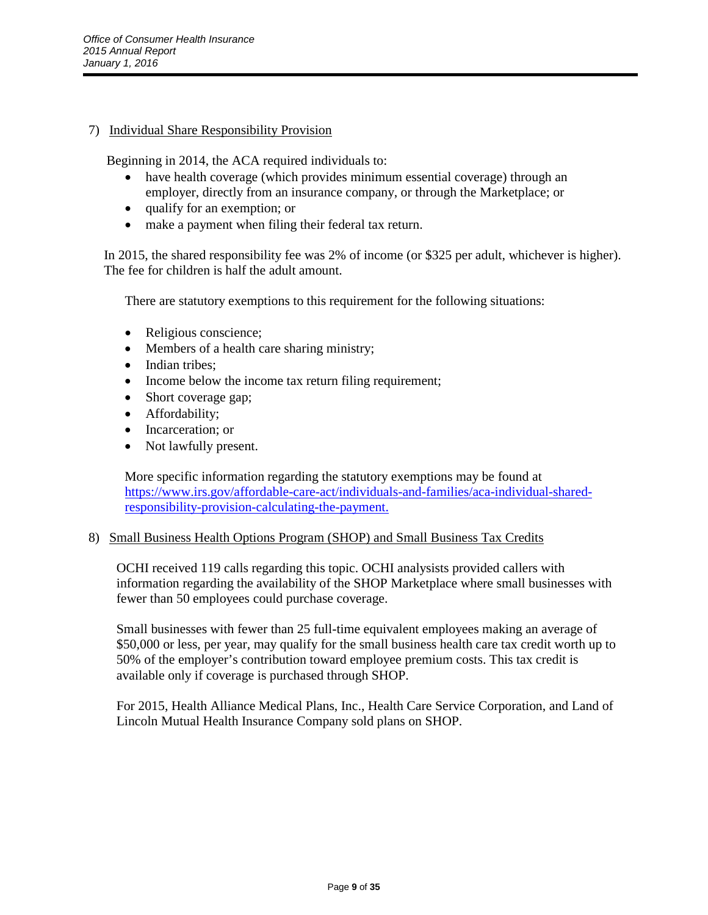# 7) Individual Share Responsibility Provision

Beginning in 2014, the ACA required individuals to:

- have health coverage (which provides minimum essential coverage) through an employer, directly from an insurance company, or through the Marketplace; or
- qualify for an exemption; or
- make a payment when filing their federal tax return.

In 2015, the shared responsibility fee was 2% of income (or \$325 per adult, whichever is higher). The fee for children is half the adult amount.

There are statutory exemptions to this requirement for the following situations:

- Religious conscience;
- Members of a health care sharing ministry;
- Indian tribes;
- Income below the income tax return filing requirement;
- Short coverage gap;
- Affordability;
- Incarceration: or
- Not lawfully present.

More specific information regarding the statutory exemptions may be found at [https://www.irs.gov/affordable-care-act/individuals-and-families/aca-individual-shared](https://www.irs.gov/affordable-care-act/individuals-and-families/aca-individual-shared-responsibility-provision-calculating-the-payment.)[responsibility-provision-calculating-the-payment.](https://www.irs.gov/affordable-care-act/individuals-and-families/aca-individual-shared-responsibility-provision-calculating-the-payment.)

### 8) Small Business Health Options Program (SHOP) and Small Business Tax Credits

OCHI received 119 calls regarding this topic. OCHI analysists provided callers with information regarding the availability of the SHOP Marketplace where small businesses with fewer than 50 employees could purchase coverage.

Small businesses with fewer than 25 full-time equivalent employees making an average of \$50,000 or less, per year, may qualify for the small business health care tax credit worth up to 50% of the employer's contribution toward employee premium costs. This tax credit is available only if coverage is purchased through SHOP.

For 2015, Health Alliance Medical Plans, Inc., Health Care Service Corporation, and Land of Lincoln Mutual Health Insurance Company sold plans on SHOP.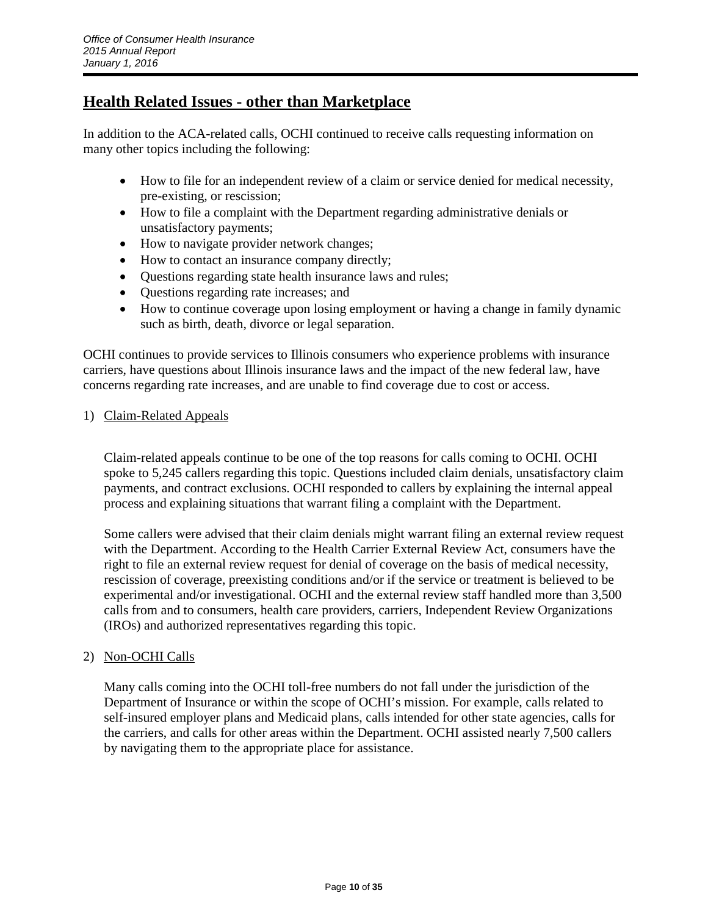# **Health Related Issues - other than Marketplace**

In addition to the ACA-related calls, OCHI continued to receive calls requesting information on many other topics including the following:

- How to file for an independent review of a claim or service denied for medical necessity, pre-existing, or rescission;
- How to file a complaint with the Department regarding administrative denials or unsatisfactory payments;
- How to navigate provider network changes;
- How to contact an insurance company directly;
- Questions regarding state health insurance laws and rules;
- Questions regarding rate increases; and
- How to continue coverage upon losing employment or having a change in family dynamic such as birth, death, divorce or legal separation.

OCHI continues to provide services to Illinois consumers who experience problems with insurance carriers, have questions about Illinois insurance laws and the impact of the new federal law, have concerns regarding rate increases, and are unable to find coverage due to cost or access.

## 1) Claim-Related Appeals

Claim-related appeals continue to be one of the top reasons for calls coming to OCHI. OCHI spoke to 5,245 callers regarding this topic. Questions included claim denials, unsatisfactory claim payments, and contract exclusions. OCHI responded to callers by explaining the internal appeal process and explaining situations that warrant filing a complaint with the Department.

Some callers were advised that their claim denials might warrant filing an external review request with the Department. According to the Health Carrier External Review Act, consumers have the right to file an external review request for denial of coverage on the basis of medical necessity, rescission of coverage, preexisting conditions and/or if the service or treatment is believed to be experimental and/or investigational. OCHI and the external review staff handled more than 3,500 calls from and to consumers, health care providers, carriers, Independent Review Organizations (IROs) and authorized representatives regarding this topic.

### 2) Non-OCHI Calls

Many calls coming into the OCHI toll-free numbers do not fall under the jurisdiction of the Department of Insurance or within the scope of OCHI's mission. For example, calls related to self-insured employer plans and Medicaid plans, calls intended for other state agencies, calls for the carriers, and calls for other areas within the Department. OCHI assisted nearly 7,500 callers by navigating them to the appropriate place for assistance.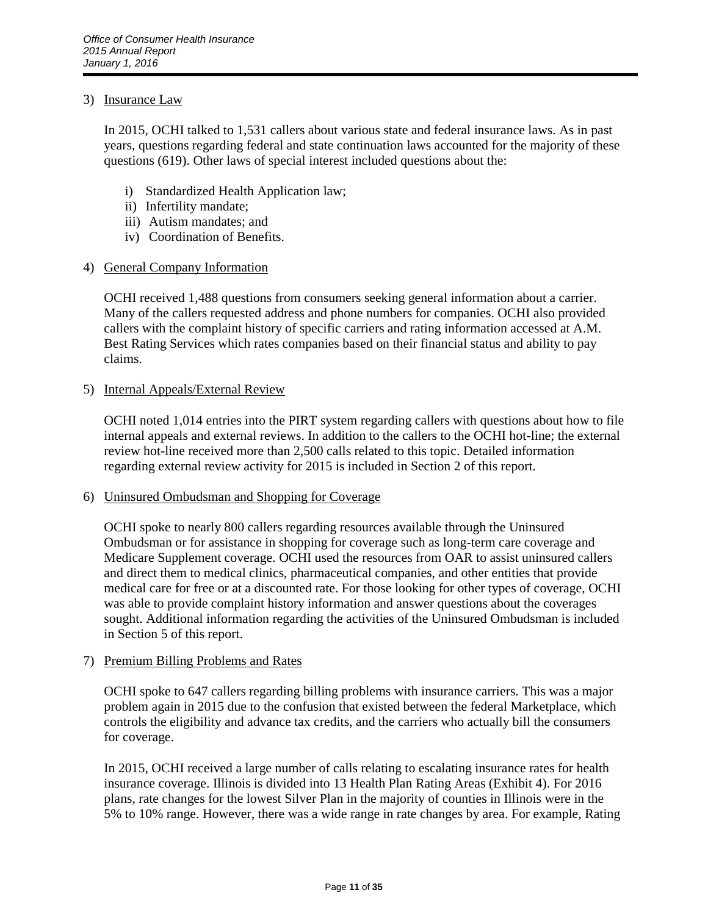### 3) Insurance Law

In 2015, OCHI talked to 1,531 callers about various state and federal insurance laws. As in past years, questions regarding federal and state continuation laws accounted for the majority of these questions (619). Other laws of special interest included questions about the:

- i) Standardized Health Application law;
- ii) Infertility mandate;
- iii) Autism mandates; and
- iv) Coordination of Benefits.

### 4) General Company Information

OCHI received 1,488 questions from consumers seeking general information about a carrier. Many of the callers requested address and phone numbers for companies. OCHI also provided callers with the complaint history of specific carriers and rating information accessed at A.M. Best Rating Services which rates companies based on their financial status and ability to pay claims.

### 5) Internal Appeals/External Review

OCHI noted 1,014 entries into the PIRT system regarding callers with questions about how to file internal appeals and external reviews. In addition to the callers to the OCHI hot-line; the external review hot-line received more than 2,500 calls related to this topic. Detailed information regarding external review activity for 2015 is included in Section 2 of this report.

6) Uninsured Ombudsman and Shopping for Coverage

OCHI spoke to nearly 800 callers regarding resources available through the Uninsured Ombudsman or for assistance in shopping for coverage such as long-term care coverage and Medicare Supplement coverage. OCHI used the resources from OAR to assist uninsured callers and direct them to medical clinics, pharmaceutical companies, and other entities that provide medical care for free or at a discounted rate. For those looking for other types of coverage, OCHI was able to provide complaint history information and answer questions about the coverages sought. Additional information regarding the activities of the Uninsured Ombudsman is included in Section 5 of this report.

### 7) Premium Billing Problems and Rates

OCHI spoke to 647 callers regarding billing problems with insurance carriers. This was a major problem again in 2015 due to the confusion that existed between the federal Marketplace, which controls the eligibility and advance tax credits, and the carriers who actually bill the consumers for coverage.

In 2015, OCHI received a large number of calls relating to escalating insurance rates for health insurance coverage. Illinois is divided into 13 Health Plan Rating Areas (Exhibit 4). For 2016 plans, rate changes for the lowest Silver Plan in the majority of counties in Illinois were in the 5% to 10% range. However, there was a wide range in rate changes by area. For example, Rating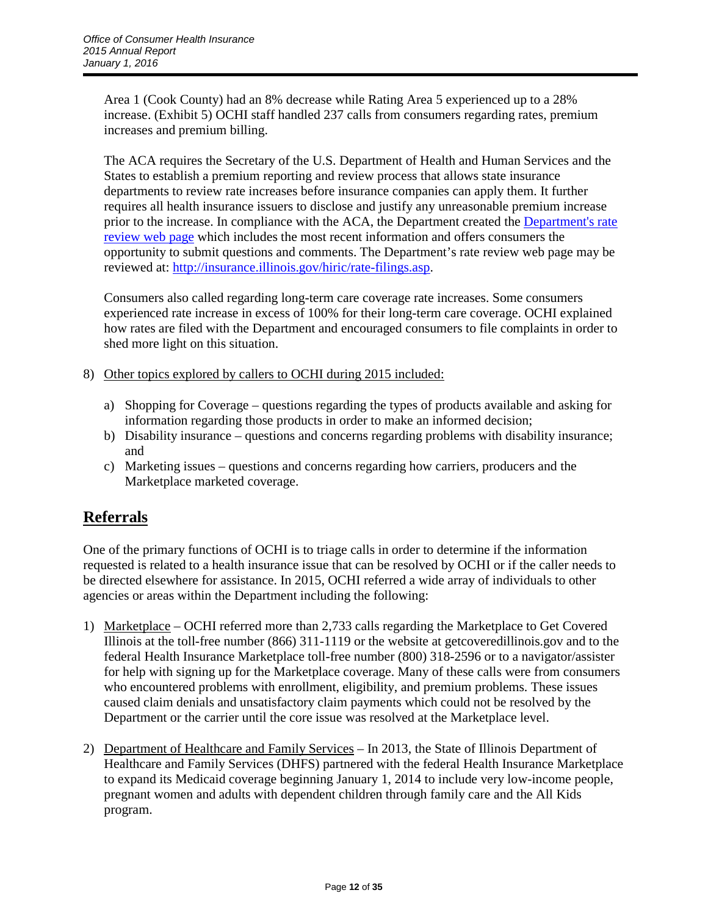Area 1 (Cook County) had an 8% decrease while Rating Area 5 experienced up to a 28% increase. (Exhibit 5) OCHI staff handled 237 calls from consumers regarding rates, premium increases and premium billing.

The ACA requires the Secretary of the U.S. Department of Health and Human Services and the States to establish a premium reporting and review process that allows state insurance departments to review rate increases before insurance companies can apply them. It further requires all health insurance issuers to disclose and justify any unreasonable premium increase prior to the increase. In compliance with the ACA, the Department created the Department's rate [review web page](http://insurance.illinois.gov/hiric/rate-filings.asp) which includes the most recent information and offers consumers the opportunity to submit questions and comments. The Department's rate review web page may be reviewed at: [http://insurance.illinois.gov/hiric/rate-filings.asp.](http://insurance.illinois.gov/hiric/rate-filings.asp)

Consumers also called regarding long-term care coverage rate increases. Some consumers experienced rate increase in excess of 100% for their long-term care coverage. OCHI explained how rates are filed with the Department and encouraged consumers to file complaints in order to shed more light on this situation.

- 8) Other topics explored by callers to OCHI during 2015 included:
	- a) Shopping for Coverage questions regarding the types of products available and asking for information regarding those products in order to make an informed decision;
	- b) Disability insurance questions and concerns regarding problems with disability insurance; and
	- c) Marketing issues questions and concerns regarding how carriers, producers and the Marketplace marketed coverage.

# **Referrals**

One of the primary functions of OCHI is to triage calls in order to determine if the information requested is related to a health insurance issue that can be resolved by OCHI or if the caller needs to be directed elsewhere for assistance. In 2015, OCHI referred a wide array of individuals to other agencies or areas within the Department including the following:

- 1) Marketplace OCHI referred more than 2,733 calls regarding the Marketplace to Get Covered Illinois at the toll-free number (866) 311-1119 or the website at getcoveredillinois.gov and to the federal Health Insurance Marketplace toll-free number (800) 318-2596 or to a navigator/assister for help with signing up for the Marketplace coverage. Many of these calls were from consumers who encountered problems with enrollment, eligibility, and premium problems. These issues caused claim denials and unsatisfactory claim payments which could not be resolved by the Department or the carrier until the core issue was resolved at the Marketplace level.
- 2) Department of Healthcare and Family Services In 2013, the State of Illinois Department of Healthcare and Family Services (DHFS) partnered with the federal Health Insurance Marketplace to expand its Medicaid coverage beginning January 1, 2014 to include very low-income people, pregnant women and adults with dependent children through family care and the All Kids program.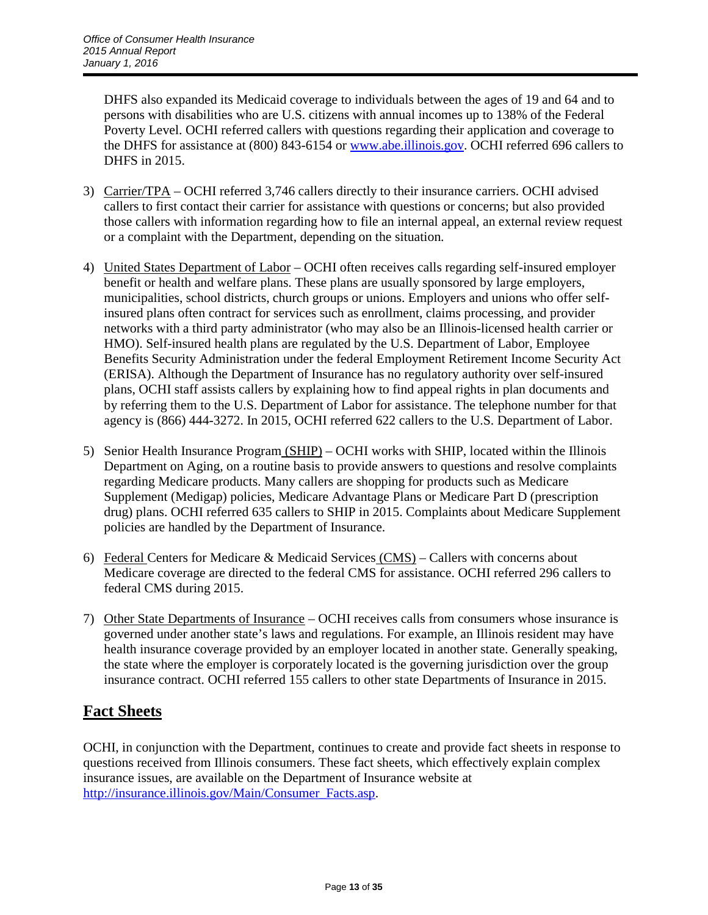DHFS also expanded its Medicaid coverage to individuals between the ages of 19 and 64 and to persons with disabilities who are U.S. citizens with annual incomes up to 138% of the Federal Poverty Level. OCHI referred callers with questions regarding their application and coverage to the DHFS for assistance at (800) 843-6154 or [www.abe.illinois.gov.](http://www.abe.illinois.gov/) OCHI referred 696 callers to DHFS in 2015.

- 3) Carrier/TPA OCHI referred 3,746 callers directly to their insurance carriers. OCHI advised callers to first contact their carrier for assistance with questions or concerns; but also provided those callers with information regarding how to file an internal appeal, an external review request or a complaint with the Department, depending on the situation.
- 4) United States Department of Labor OCHI often receives calls regarding self-insured employer benefit or health and welfare plans. These plans are usually sponsored by large employers, municipalities, school districts, church groups or unions. Employers and unions who offer selfinsured plans often contract for services such as enrollment, claims processing, and provider networks with a third party administrator (who may also be an Illinois-licensed health carrier or HMO). Self-insured health plans are regulated by the U.S. Department of Labor, Employee Benefits Security Administration under the federal Employment Retirement Income Security Act (ERISA). Although the Department of Insurance has no regulatory authority over self-insured plans, OCHI staff assists callers by explaining how to find appeal rights in plan documents and by referring them to the U.S. Department of Labor for assistance. The telephone number for that agency is (866) 444-3272. In 2015, OCHI referred 622 callers to the U.S. Department of Labor.
- 5) Senior Health Insurance Program (SHIP) OCHI works with SHIP, located within the Illinois Department on Aging, on a routine basis to provide answers to questions and resolve complaints regarding Medicare products. Many callers are shopping for products such as Medicare Supplement (Medigap) policies, Medicare Advantage Plans or Medicare Part D (prescription drug) plans. OCHI referred 635 callers to SHIP in 2015. Complaints about Medicare Supplement policies are handled by the Department of Insurance.
- 6) Federal Centers for Medicare & Medicaid Services (CMS) Callers with concerns about Medicare coverage are directed to the federal CMS for assistance. OCHI referred 296 callers to federal CMS during 2015.
- 7) Other State Departments of Insurance OCHI receives calls from consumers whose insurance is governed under another state's laws and regulations. For example, an Illinois resident may have health insurance coverage provided by an employer located in another state. Generally speaking, the state where the employer is corporately located is the governing jurisdiction over the group insurance contract. OCHI referred 155 callers to other state Departments of Insurance in 2015.

# **Fact Sheets**

OCHI, in conjunction with the Department, continues to create and provide fact sheets in response to questions received from Illinois consumers. These fact sheets, which effectively explain complex insurance issues, are available on the Department of Insurance website at [http://insurance.illinois.gov/Main/Consumer\\_Facts.asp.](http://insurance.illinois.gov/Main/Consumer_Facts.asp)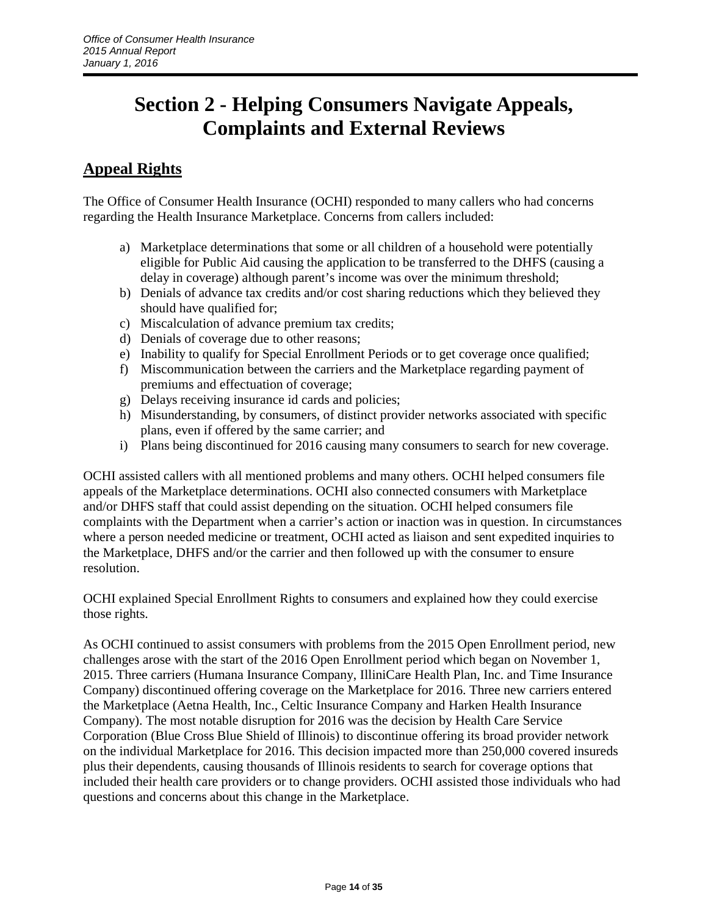# **Section 2 - Helping Consumers Navigate Appeals, Complaints and External Reviews**

# **Appeal Rights**

The Office of Consumer Health Insurance (OCHI) responded to many callers who had concerns regarding the Health Insurance Marketplace. Concerns from callers included:

- a) Marketplace determinations that some or all children of a household were potentially eligible for Public Aid causing the application to be transferred to the DHFS (causing a delay in coverage) although parent's income was over the minimum threshold;
- b) Denials of advance tax credits and/or cost sharing reductions which they believed they should have qualified for;
- c) Miscalculation of advance premium tax credits;
- d) Denials of coverage due to other reasons;
- e) Inability to qualify for Special Enrollment Periods or to get coverage once qualified;
- f) Miscommunication between the carriers and the Marketplace regarding payment of premiums and effectuation of coverage;
- g) Delays receiving insurance id cards and policies;
- h) Misunderstanding, by consumers, of distinct provider networks associated with specific plans, even if offered by the same carrier; and
- i) Plans being discontinued for 2016 causing many consumers to search for new coverage.

OCHI assisted callers with all mentioned problems and many others. OCHI helped consumers file appeals of the Marketplace determinations. OCHI also connected consumers with Marketplace and/or DHFS staff that could assist depending on the situation. OCHI helped consumers file complaints with the Department when a carrier's action or inaction was in question. In circumstances where a person needed medicine or treatment, OCHI acted as liaison and sent expedited inquiries to the Marketplace, DHFS and/or the carrier and then followed up with the consumer to ensure resolution.

OCHI explained Special Enrollment Rights to consumers and explained how they could exercise those rights.

As OCHI continued to assist consumers with problems from the 2015 Open Enrollment period, new challenges arose with the start of the 2016 Open Enrollment period which began on November 1, 2015. Three carriers (Humana Insurance Company, IlliniCare Health Plan, Inc. and Time Insurance Company) discontinued offering coverage on the Marketplace for 2016. Three new carriers entered the Marketplace (Aetna Health, Inc., Celtic Insurance Company and Harken Health Insurance Company). The most notable disruption for 2016 was the decision by Health Care Service Corporation (Blue Cross Blue Shield of Illinois) to discontinue offering its broad provider network on the individual Marketplace for 2016. This decision impacted more than 250,000 covered insureds plus their dependents, causing thousands of Illinois residents to search for coverage options that included their health care providers or to change providers. OCHI assisted those individuals who had questions and concerns about this change in the Marketplace.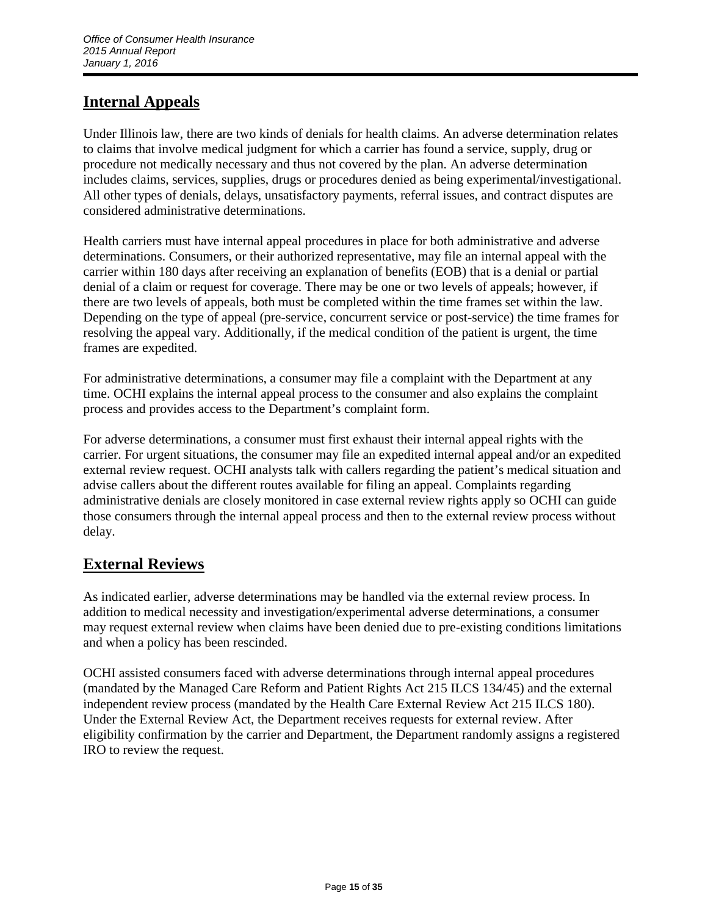# **Internal Appeals**

Under Illinois law, there are two kinds of denials for health claims. An adverse determination relates to claims that involve medical judgment for which a carrier has found a service, supply, drug or procedure not medically necessary and thus not covered by the plan. An adverse determination includes claims, services, supplies, drugs or procedures denied as being experimental/investigational. All other types of denials, delays, unsatisfactory payments, referral issues, and contract disputes are considered administrative determinations.

Health carriers must have internal appeal procedures in place for both administrative and adverse determinations. Consumers, or their authorized representative, may file an internal appeal with the carrier within 180 days after receiving an explanation of benefits (EOB) that is a denial or partial denial of a claim or request for coverage. There may be one or two levels of appeals; however, if there are two levels of appeals, both must be completed within the time frames set within the law. Depending on the type of appeal (pre-service, concurrent service or post-service) the time frames for resolving the appeal vary. Additionally, if the medical condition of the patient is urgent, the time frames are expedited.

For administrative determinations, a consumer may file a complaint with the Department at any time. OCHI explains the internal appeal process to the consumer and also explains the complaint process and provides access to the Department's complaint form.

For adverse determinations, a consumer must first exhaust their internal appeal rights with the carrier. For urgent situations, the consumer may file an expedited internal appeal and/or an expedited external review request. OCHI analysts talk with callers regarding the patient's medical situation and advise callers about the different routes available for filing an appeal. Complaints regarding administrative denials are closely monitored in case external review rights apply so OCHI can guide those consumers through the internal appeal process and then to the external review process without delay.

# **External Reviews**

As indicated earlier, adverse determinations may be handled via the external review process. In addition to medical necessity and investigation/experimental adverse determinations, a consumer may request external review when claims have been denied due to pre-existing conditions limitations and when a policy has been rescinded.

OCHI assisted consumers faced with adverse determinations through internal appeal procedures (mandated by the Managed Care Reform and Patient Rights Act 215 ILCS 134/45) and the external independent review process (mandated by the Health Care External Review Act 215 ILCS 180). Under the External Review Act, the Department receives requests for external review. After eligibility confirmation by the carrier and Department, the Department randomly assigns a registered IRO to review the request.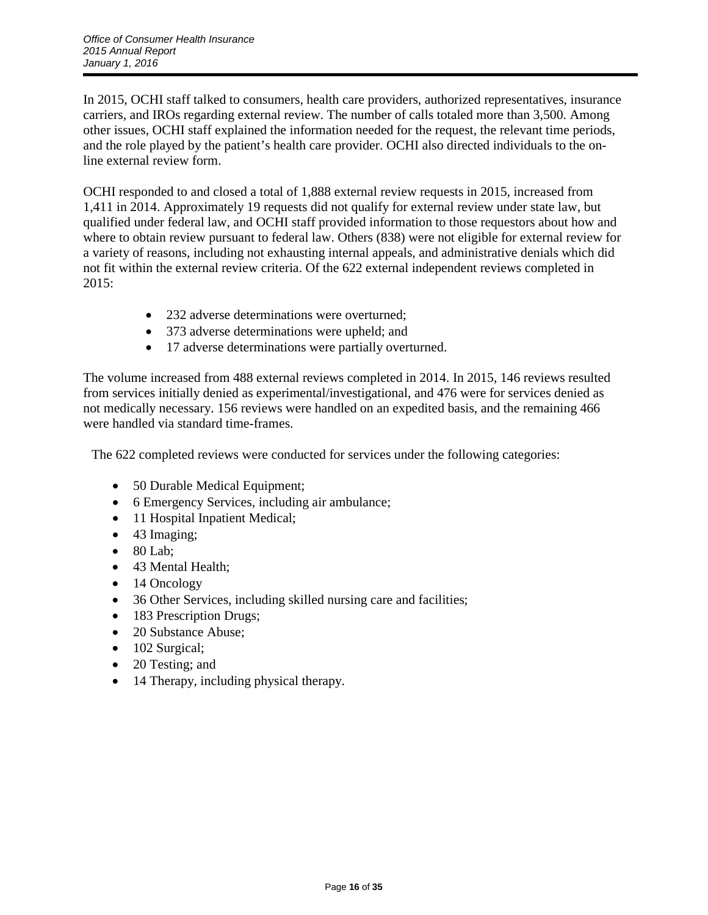In 2015, OCHI staff talked to consumers, health care providers, authorized representatives, insurance carriers, and IROs regarding external review. The number of calls totaled more than 3,500. Among other issues, OCHI staff explained the information needed for the request, the relevant time periods, and the role played by the patient's health care provider. OCHI also directed individuals to the online external review form.

OCHI responded to and closed a total of 1,888 external review requests in 2015, increased from 1,411 in 2014. Approximately 19 requests did not qualify for external review under state law, but qualified under federal law, and OCHI staff provided information to those requestors about how and where to obtain review pursuant to federal law. Others (838) were not eligible for external review for a variety of reasons, including not exhausting internal appeals, and administrative denials which did not fit within the external review criteria. Of the 622 external independent reviews completed in  $2015:$ 

- 232 adverse determinations were overturned:
- 373 adverse determinations were upheld; and
- 17 adverse determinations were partially overturned.

The volume increased from 488 external reviews completed in 2014. In 2015, 146 reviews resulted from services initially denied as experimental/investigational, and 476 were for services denied as not medically necessary. 156 reviews were handled on an expedited basis, and the remaining 466 were handled via standard time-frames.

The 622 completed reviews were conducted for services under the following categories:

- 50 Durable Medical Equipment;
- 6 Emergency Services, including air ambulance;
- 11 Hospital Inpatient Medical;
- 43 Imaging;
- $\bullet$  80 Lab;
- 43 Mental Health;
- 14 Oncology
- 36 Other Services, including skilled nursing care and facilities;
- 183 Prescription Drugs;
- 20 Substance Abuse;
- 102 Surgical;
- 20 Testing; and
- 14 Therapy, including physical therapy.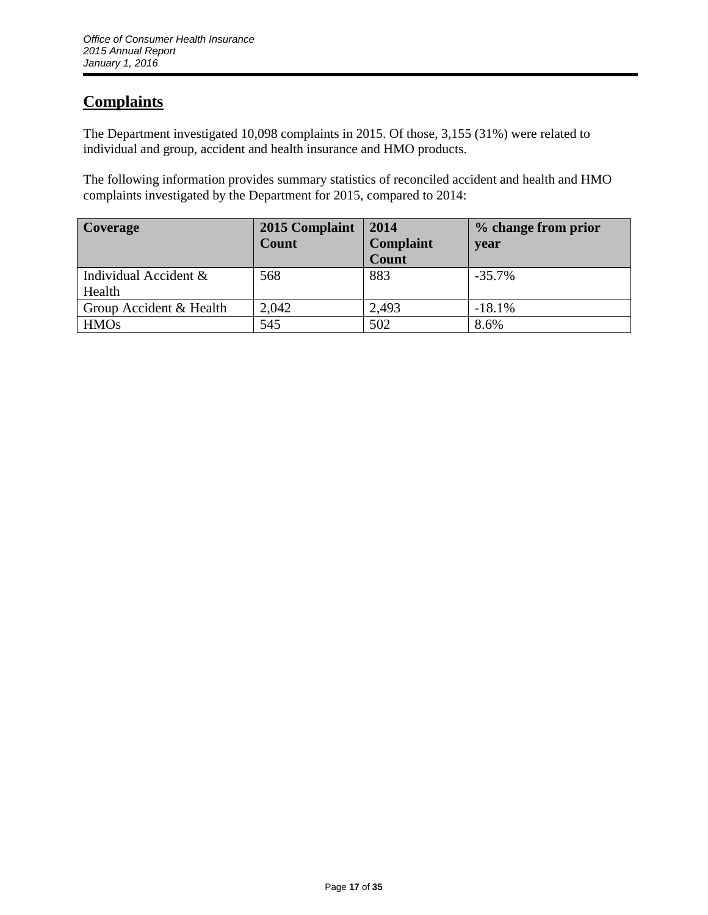# **Complaints**

The Department investigated 10,098 complaints in 2015. Of those, 3,155 (31%) were related to individual and group, accident and health insurance and HMO products.

The following information provides summary statistics of reconciled accident and health and HMO complaints investigated by the Department for 2015, compared to 2014:

| <b>Coverage</b>         | 2015 Complaint | 2014      | % change from prior |
|-------------------------|----------------|-----------|---------------------|
|                         | <b>Count</b>   | Complaint | year                |
|                         |                | Count     |                     |
| Individual Accident &   | 568            | 883       | $-35.7\%$           |
| Health                  |                |           |                     |
| Group Accident & Health | 2,042          | 2,493     | $-18.1%$            |
| <b>HMOs</b>             | 545            | 502       | 8.6%                |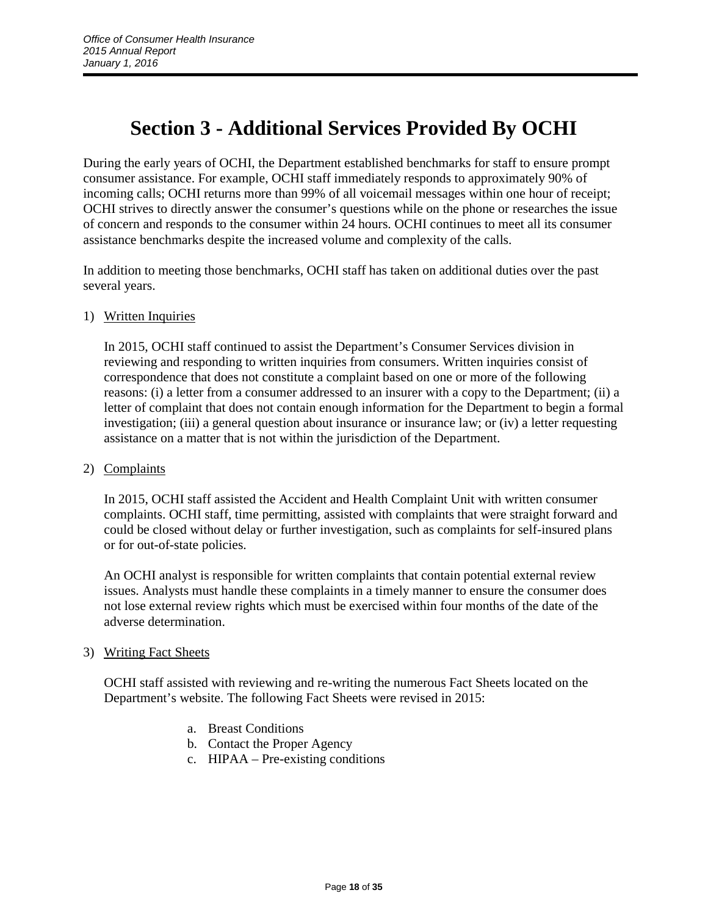# **Section 3 - Additional Services Provided By OCHI**

During the early years of OCHI, the Department established benchmarks for staff to ensure prompt consumer assistance. For example, OCHI staff immediately responds to approximately 90% of incoming calls; OCHI returns more than 99% of all voicemail messages within one hour of receipt; OCHI strives to directly answer the consumer's questions while on the phone or researches the issue of concern and responds to the consumer within 24 hours. OCHI continues to meet all its consumer assistance benchmarks despite the increased volume and complexity of the calls.

In addition to meeting those benchmarks, OCHI staff has taken on additional duties over the past several years.

## 1) Written Inquiries

In 2015, OCHI staff continued to assist the Department's Consumer Services division in reviewing and responding to written inquiries from consumers. Written inquiries consist of correspondence that does not constitute a complaint based on one or more of the following reasons: (i) a letter from a consumer addressed to an insurer with a copy to the Department; (ii) a letter of complaint that does not contain enough information for the Department to begin a formal investigation; (iii) a general question about insurance or insurance law; or (iv) a letter requesting assistance on a matter that is not within the jurisdiction of the Department.

### 2) Complaints

In 2015, OCHI staff assisted the Accident and Health Complaint Unit with written consumer complaints. OCHI staff, time permitting, assisted with complaints that were straight forward and could be closed without delay or further investigation, such as complaints for self-insured plans or for out-of-state policies.

An OCHI analyst is responsible for written complaints that contain potential external review issues. Analysts must handle these complaints in a timely manner to ensure the consumer does not lose external review rights which must be exercised within four months of the date of the adverse determination.

### 3) Writing Fact Sheets

OCHI staff assisted with reviewing and re-writing the numerous Fact Sheets located on the Department's website. The following Fact Sheets were revised in 2015:

- a. Breast Conditions
- b. Contact the Proper Agency
- c. HIPAA Pre-existing conditions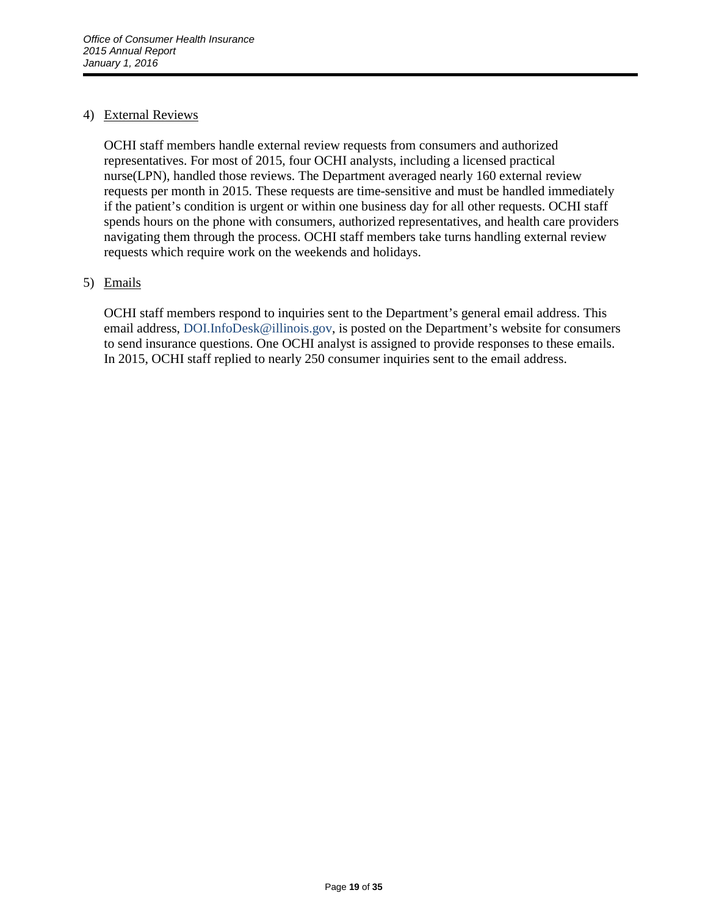## 4) External Reviews

OCHI staff members handle external review requests from consumers and authorized representatives. For most of 2015, four OCHI analysts, including a licensed practical nurse(LPN), handled those reviews. The Department averaged nearly 160 external review requests per month in 2015. These requests are time-sensitive and must be handled immediately if the patient's condition is urgent or within one business day for all other requests. OCHI staff spends hours on the phone with consumers, authorized representatives, and health care providers navigating them through the process. OCHI staff members take turns handling external review requests which require work on the weekends and holidays.

## 5) Emails

OCHI staff members respond to inquiries sent to the Department's general email address. This email address, DOI.InfoDesk@illinois.gov, is posted on the Department's website for consumers to send insurance questions. One OCHI analyst is assigned to provide responses to these emails. In 2015, OCHI staff replied to nearly 250 consumer inquiries sent to the email address.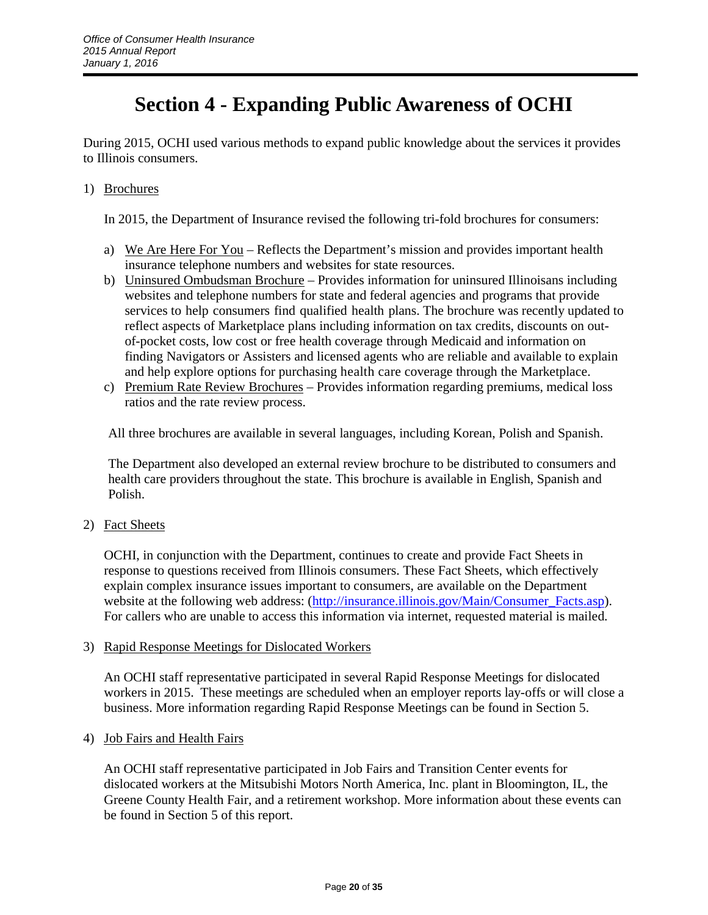# **Section 4 - Expanding Public Awareness of OCHI**

During 2015, OCHI used various methods to expand public knowledge about the services it provides to Illinois consumers.

1) Brochures

In 2015, the Department of Insurance revised the following tri-fold brochures for consumers:

- a) We Are Here For You Reflects the Department's mission and provides important health insurance telephone numbers and websites for state resources.
- b) Uninsured Ombudsman Brochure Provides information for uninsured Illinoisans including websites and telephone numbers for state and federal agencies and programs that provide services to help consumers find qualified health plans. The brochure was recently updated to reflect aspects of Marketplace plans including information on tax credits, discounts on outof-pocket costs, low cost or free health coverage through Medicaid and information on finding Navigators or Assisters and licensed agents who are reliable and available to explain and help explore options for purchasing health care coverage through the Marketplace.
- c) Premium Rate Review Brochures Provides information regarding premiums, medical loss ratios and the rate review process.

All three brochures are available in several languages, including Korean, Polish and Spanish.

The Department also developed an external review brochure to be distributed to consumers and health care providers throughout the state. This brochure is available in English, Spanish and Polish.

2) Fact Sheets

OCHI, in conjunction with the Department, continues to create and provide Fact Sheets in response to questions received from Illinois consumers. These Fact Sheets, which effectively explain complex insurance issues important to consumers, are available on the Department website at the following web address: [\(http://insurance.illinois.gov/Main/Consumer\\_Facts.asp\)](http://insurance.illinois.gov/Main/Consumer_Facts.asp). For callers who are unable to access this information via internet, requested material is mailed.

### 3) Rapid Response Meetings for Dislocated Workers

An OCHI staff representative participated in several Rapid Response Meetings for dislocated workers in 2015. These meetings are scheduled when an employer reports lay-offs or will close a business. More information regarding Rapid Response Meetings can be found in Section 5.

### 4) Job Fairs and Health Fairs

An OCHI staff representative participated in Job Fairs and Transition Center events for dislocated workers at the Mitsubishi Motors North America, Inc. plant in Bloomington, IL, the Greene County Health Fair, and a retirement workshop. More information about these events can be found in Section 5 of this report.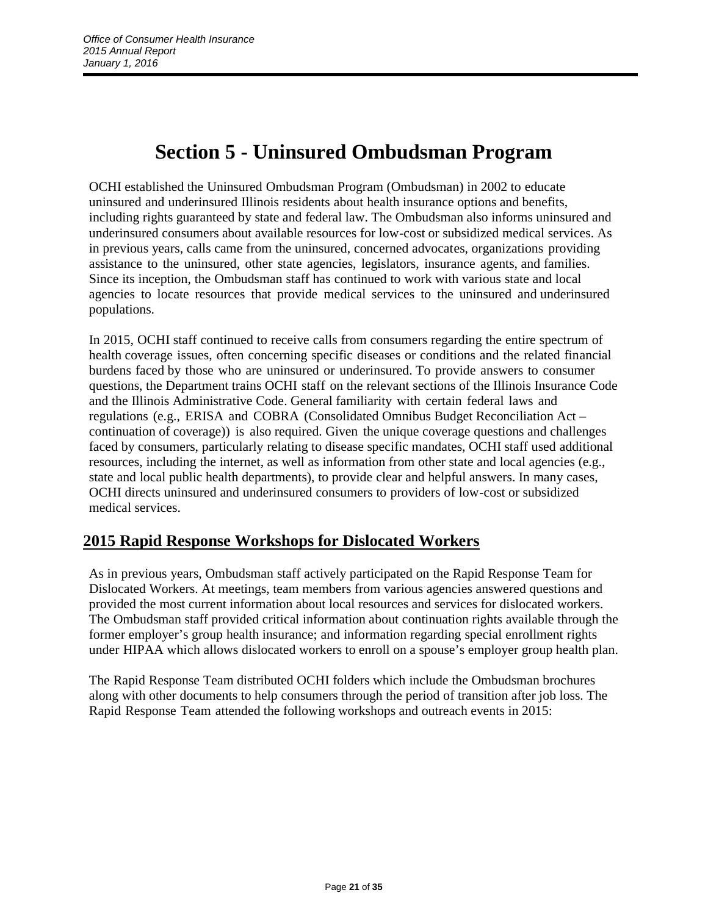# **Section 5 - Uninsured Ombudsman Program**

OCHI established the Uninsured Ombudsman Program (Ombudsman) in 2002 to educate uninsured and underinsured Illinois residents about health insurance options and benefits, including rights guaranteed by state and federal law. The Ombudsman also informs uninsured and underinsured consumers about available resources for low-cost or subsidized medical services. As in previous years, calls came from the uninsured, concerned advocates, organizations providing assistance to the uninsured, other state agencies, legislators, insurance agents, and families. Since its inception, the Ombudsman staff has continued to work with various state and local agencies to locate resources that provide medical services to the uninsured and underinsured populations.

In 2015, OCHI staff continued to receive calls from consumers regarding the entire spectrum of health coverage issues, often concerning specific diseases or conditions and the related financial burdens faced by those who are uninsured or underinsured. To provide answers to consumer questions, the Department trains OCHI staff on the relevant sections of the Illinois Insurance Code and the Illinois Administrative Code. General familiarity with certain federal laws and regulations (e.g., ERISA and COBRA (Consolidated Omnibus Budget Reconciliation Act – continuation of coverage)) is also required. Given the unique coverage questions and challenges faced by consumers, particularly relating to disease specific mandates, OCHI staff used additional resources, including the internet, as well as information from other state and local agencies (e.g., state and local public health departments), to provide clear and helpful answers. In many cases, OCHI directs uninsured and underinsured consumers to providers of low-cost or subsidized medical services.

# **2015 Rapid Response Workshops for Dislocated Workers**

As in previous years, Ombudsman staff actively participated on the Rapid Response Team for Dislocated Workers. At meetings, team members from various agencies answered questions and provided the most current information about local resources and services for dislocated workers. The Ombudsman staff provided critical information about continuation rights available through the former employer's group health insurance; and information regarding special enrollment rights under HIPAA which allows dislocated workers to enroll on a spouse's employer group health plan.

The Rapid Response Team distributed OCHI folders which include the Ombudsman brochures along with other documents to help consumers through the period of transition after job loss. The Rapid Response Team attended the following workshops and outreach events in 2015: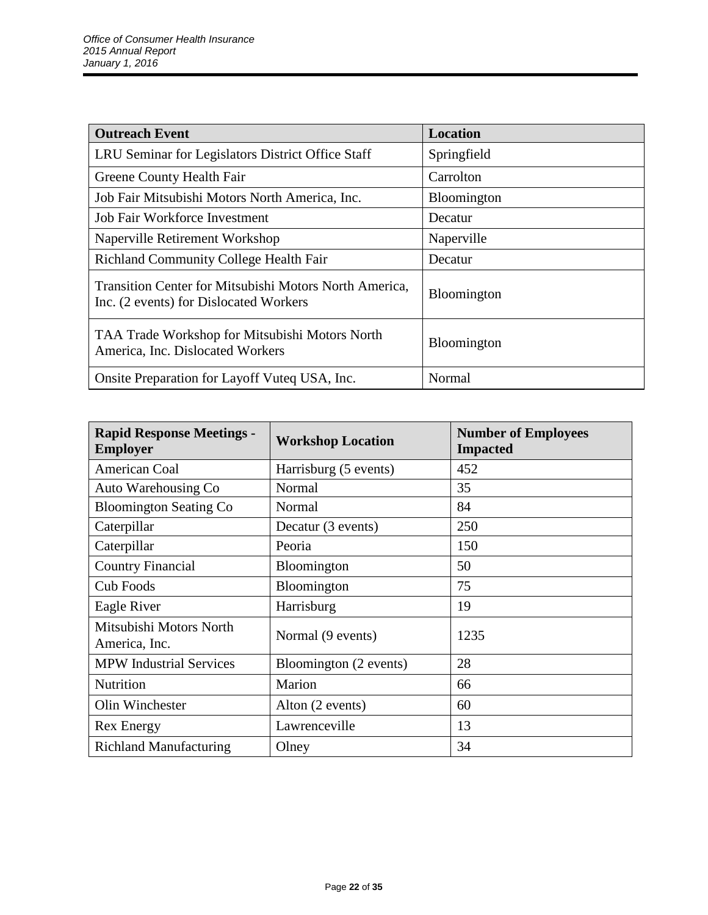| <b>Outreach Event</b>                                                                            | Location           |
|--------------------------------------------------------------------------------------------------|--------------------|
| LRU Seminar for Legislators District Office Staff                                                | Springfield        |
| Greene County Health Fair                                                                        | Carrolton          |
| Job Fair Mitsubishi Motors North America, Inc.                                                   | <b>Bloomington</b> |
| <b>Job Fair Workforce Investment</b>                                                             | Decatur            |
| Naperville Retirement Workshop                                                                   | Naperville         |
| <b>Richland Community College Health Fair</b>                                                    | Decatur            |
| Transition Center for Mitsubishi Motors North America,<br>Inc. (2 events) for Dislocated Workers | Bloomington        |
| TAA Trade Workshop for Mitsubishi Motors North<br>America, Inc. Dislocated Workers               | Bloomington        |
| Onsite Preparation for Layoff Vuteq USA, Inc.                                                    | Normal             |

| <b>Rapid Response Meetings -</b><br><b>Employer</b> | <b>Workshop Location</b> | <b>Number of Employees</b><br><b>Impacted</b> |
|-----------------------------------------------------|--------------------------|-----------------------------------------------|
| American Coal                                       | Harrisburg (5 events)    | 452                                           |
| Auto Warehousing Co                                 | Normal                   | 35                                            |
| <b>Bloomington Seating Co</b>                       | Normal                   | 84                                            |
| Caterpillar                                         | Decatur (3 events)       | 250                                           |
| Caterpillar                                         | Peoria                   | 150                                           |
| <b>Country Financial</b>                            | <b>Bloomington</b>       | 50                                            |
| <b>Cub Foods</b>                                    | Bloomington              | 75                                            |
| Eagle River                                         | Harrisburg               | 19                                            |
| Mitsubishi Motors North<br>America, Inc.            | Normal (9 events)        | 1235                                          |
| <b>MPW</b> Industrial Services                      | Bloomington (2 events)   | 28                                            |
| Nutrition                                           | Marion                   | 66                                            |
| Olin Winchester                                     | Alton (2 events)         | 60                                            |
| <b>Rex Energy</b>                                   | Lawrenceville            | 13                                            |
| <b>Richland Manufacturing</b>                       | Olney                    | 34                                            |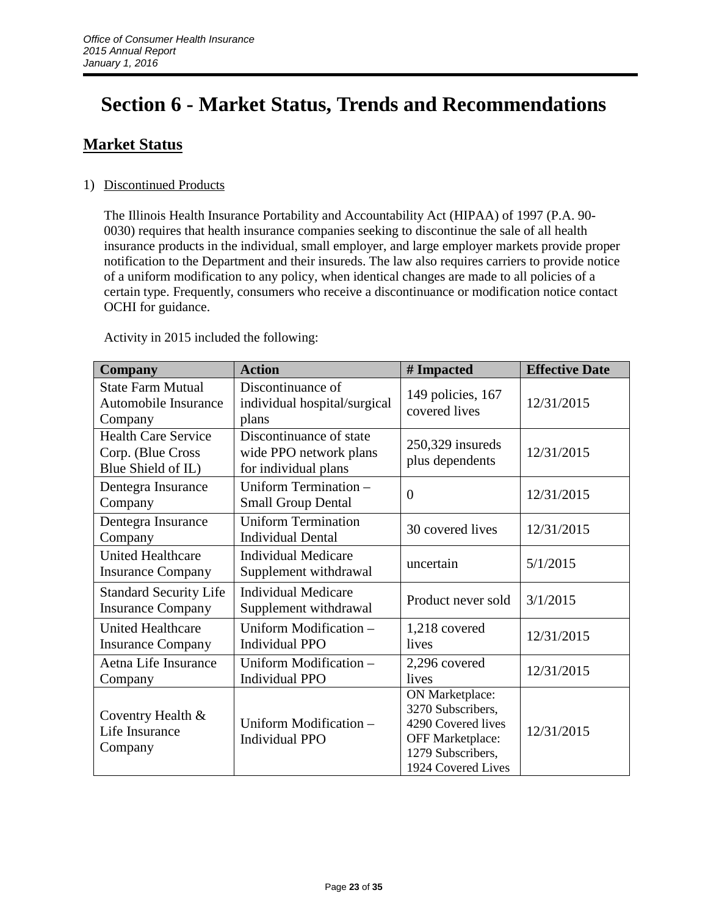# **Section 6 - Market Status, Trends and Recommendations**

# **Market Status**

# 1) Discontinued Products

The Illinois Health Insurance Portability and Accountability Act (HIPAA) of 1997 (P.A. 90- 0030) requires that health insurance companies seeking to discontinue the sale of all health insurance products in the individual, small employer, and large employer markets provide proper notification to the Department and their insureds. The law also requires carriers to provide notice of a uniform modification to any policy, when identical changes are made to all policies of a certain type. Frequently, consumers who receive a discontinuance or modification notice contact OCHI for guidance.

| Company                                                               | <b>Action</b>                                                             | # Impacted                                                                                                                       | <b>Effective Date</b> |
|-----------------------------------------------------------------------|---------------------------------------------------------------------------|----------------------------------------------------------------------------------------------------------------------------------|-----------------------|
| <b>State Farm Mutual</b><br>Automobile Insurance<br>Company           | Discontinuance of<br>individual hospital/surgical<br>plans                | 149 policies, 167<br>covered lives                                                                                               | 12/31/2015            |
| <b>Health Care Service</b><br>Corp. (Blue Cross<br>Blue Shield of IL) | Discontinuance of state<br>wide PPO network plans<br>for individual plans | $250,329$ insureds<br>plus dependents                                                                                            | 12/31/2015            |
| Dentegra Insurance<br>Company                                         | Uniform Termination -<br><b>Small Group Dental</b>                        | $\overline{0}$                                                                                                                   | 12/31/2015            |
| Dentegra Insurance<br>Company                                         | <b>Uniform Termination</b><br><b>Individual Dental</b>                    | 30 covered lives                                                                                                                 | 12/31/2015            |
| <b>United Healthcare</b><br><b>Insurance Company</b>                  | <b>Individual Medicare</b><br>Supplement withdrawal                       | uncertain                                                                                                                        | 5/1/2015              |
| <b>Standard Security Life</b><br><b>Insurance Company</b>             | <b>Individual Medicare</b><br>Supplement withdrawal                       | Product never sold                                                                                                               | 3/1/2015              |
| <b>United Healthcare</b><br><b>Insurance Company</b>                  | Uniform Modification -<br><b>Individual PPO</b>                           | 1,218 covered<br>lives                                                                                                           | 12/31/2015            |
| Aetna Life Insurance<br>Company                                       | Uniform Modification -<br><b>Individual PPO</b>                           | 2,296 covered<br>lives                                                                                                           | 12/31/2015            |
| Coventry Health &<br>Life Insurance<br>Company                        | Uniform Modification -<br><b>Individual PPO</b>                           | ON Marketplace:<br>3270 Subscribers,<br>4290 Covered lives<br><b>OFF Marketplace:</b><br>1279 Subscribers,<br>1924 Covered Lives | 12/31/2015            |

Activity in 2015 included the following: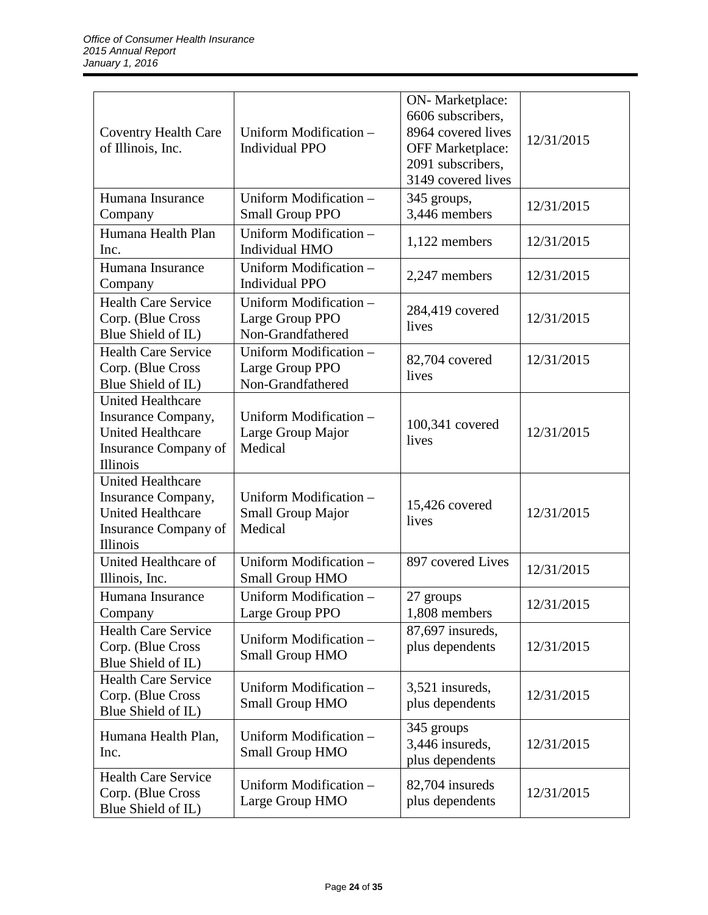| <b>Coventry Health Care</b><br>of Illinois, Inc.                                                                      | Uniform Modification -<br><b>Individual PPO</b>                | ON-Marketplace:<br>6606 subscribers,<br>8964 covered lives<br><b>OFF Marketplace:</b><br>2091 subscribers,<br>3149 covered lives | 12/31/2015 |
|-----------------------------------------------------------------------------------------------------------------------|----------------------------------------------------------------|----------------------------------------------------------------------------------------------------------------------------------|------------|
| Humana Insurance<br>Company                                                                                           | Uniform Modification -<br><b>Small Group PPO</b>               | 345 groups,<br>3,446 members                                                                                                     | 12/31/2015 |
| Humana Health Plan<br>Inc.                                                                                            | Uniform Modification -<br>Individual HMO                       | 1,122 members                                                                                                                    | 12/31/2015 |
| Humana Insurance<br>Company                                                                                           | Uniform Modification -<br><b>Individual PPO</b>                | 2,247 members                                                                                                                    | 12/31/2015 |
| <b>Health Care Service</b><br>Corp. (Blue Cross<br>Blue Shield of IL)                                                 | Uniform Modification -<br>Large Group PPO<br>Non-Grandfathered | 284,419 covered<br>lives                                                                                                         | 12/31/2015 |
| <b>Health Care Service</b><br>Corp. (Blue Cross<br>Blue Shield of IL)                                                 | Uniform Modification -<br>Large Group PPO<br>Non-Grandfathered | 82,704 covered<br>lives                                                                                                          | 12/31/2015 |
| <b>United Healthcare</b><br>Insurance Company,<br><b>United Healthcare</b><br>Insurance Company of<br><b>Illinois</b> | Uniform Modification -<br>Large Group Major<br>Medical         | 100,341 covered<br>lives                                                                                                         | 12/31/2015 |
| <b>United Healthcare</b><br>Insurance Company,<br><b>United Healthcare</b><br>Insurance Company of<br>Illinois        | Uniform Modification -<br><b>Small Group Major</b><br>Medical  | 15,426 covered<br>lives                                                                                                          | 12/31/2015 |
| United Healthcare of<br>Illinois, Inc.                                                                                | Uniform Modification -<br><b>Small Group HMO</b>               | 897 covered Lives                                                                                                                | 12/31/2015 |
| Humana Insurance<br>Company                                                                                           | Uniform Modification -<br>Large Group PPO                      | 27 groups<br>1,808 members                                                                                                       | 12/31/2015 |
| <b>Health Care Service</b><br>Corp. (Blue Cross<br>Blue Shield of IL)                                                 | Uniform Modification -<br><b>Small Group HMO</b>               | 87,697 insureds,<br>plus dependents                                                                                              | 12/31/2015 |
| <b>Health Care Service</b><br>Corp. (Blue Cross<br>Blue Shield of IL)                                                 | Uniform Modification -<br><b>Small Group HMO</b>               | 3,521 insureds,<br>plus dependents                                                                                               | 12/31/2015 |
| Humana Health Plan,<br>Inc.                                                                                           | Uniform Modification -<br><b>Small Group HMO</b>               | 345 groups<br>3,446 insureds,<br>plus dependents                                                                                 | 12/31/2015 |
| <b>Health Care Service</b><br>Corp. (Blue Cross<br>Blue Shield of IL)                                                 | Uniform Modification -<br>Large Group HMO                      | 82,704 insureds<br>plus dependents                                                                                               | 12/31/2015 |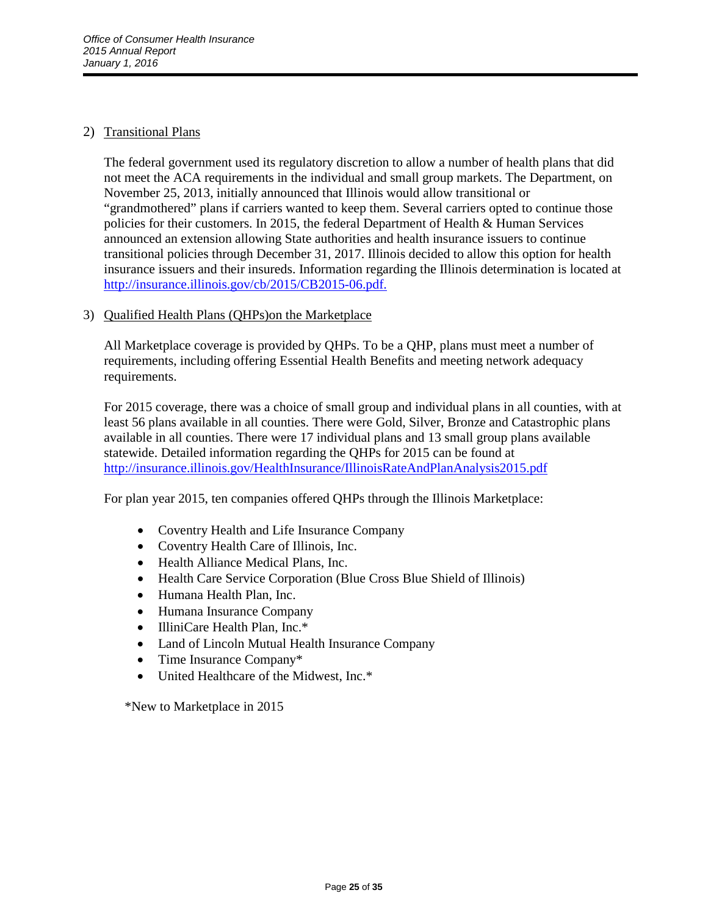# 2) Transitional Plans

The federal government used its regulatory discretion to allow a number of health plans that did not meet the ACA requirements in the individual and small group markets. The Department, on November 25, 2013, initially announced that Illinois would allow transitional or "grandmothered" plans if carriers wanted to keep them. Several carriers opted to continue those policies for their customers. In 2015, the federal Department of Health & Human Services announced an extension allowing State authorities and health insurance issuers to continue transitional policies through December 31, 2017. Illinois decided to allow this option for health insurance issuers and their insureds. Information regarding the Illinois determination is located at [http://insurance.illinois.gov/cb/2015/CB2015-06.pdf.](http://insurance.illinois.gov/cb/2015/CB2015-06.pdf)

## 3) Qualified Health Plans (QHPs)on the Marketplace

All Marketplace coverage is provided by QHPs. To be a QHP, plans must meet a number of requirements, including offering Essential Health Benefits and meeting network adequacy requirements.

For 2015 coverage, there was a choice of small group and individual plans in all counties, with at least 56 plans available in all counties. There were Gold, Silver, Bronze and Catastrophic plans available in all counties. There were 17 individual plans and 13 small group plans available statewide. Detailed information regarding the QHPs for 2015 can be found at [http://insurance.illinois.gov/HealthInsurance/IllinoisRateAndPlanAnalysis2015.pdf](http://insurance.illinois.gov/HealthInsurance/IllinoisRateAndPlanAnalysis2015.pdf.)

For plan year 2015, ten companies offered QHPs through the Illinois Marketplace:

- Coventry Health and Life Insurance Company
- Coventry Health Care of Illinois, Inc.
- Health Alliance Medical Plans, Inc.
- Health Care Service Corporation (Blue Cross Blue Shield of Illinois)
- Humana Health Plan, Inc.
- Humana Insurance Company
- IlliniCare Health Plan, Inc.\*
- Land of Lincoln Mutual Health Insurance Company
- Time Insurance Company\*
- United Healthcare of the Midwest, Inc.\*

\*New to Marketplace in 2015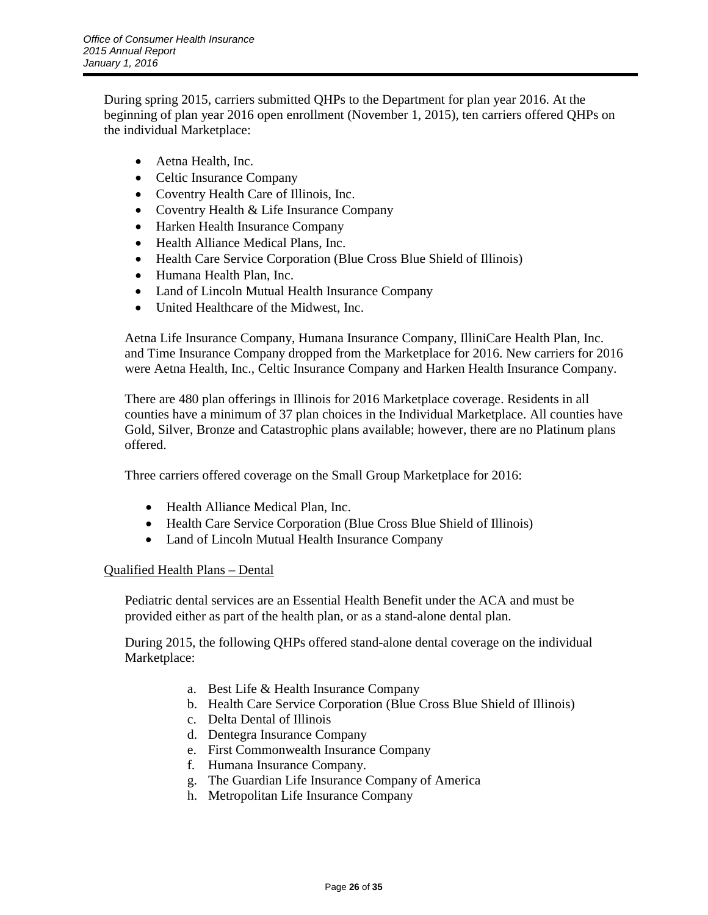During spring 2015, carriers submitted QHPs to the Department for plan year 2016. At the beginning of plan year 2016 open enrollment (November 1, 2015), ten carriers offered QHPs on the individual Marketplace:

- Aetna Health, Inc.
- Celtic Insurance Company
- Coventry Health Care of Illinois, Inc.
- Coventry Health & Life Insurance Company
- Harken Health Insurance Company
- Health Alliance Medical Plans, Inc.
- Health Care Service Corporation (Blue Cross Blue Shield of Illinois)
- Humana Health Plan, Inc.
- Land of Lincoln Mutual Health Insurance Company
- United Healthcare of the Midwest, Inc.

Aetna Life Insurance Company, Humana Insurance Company, IlliniCare Health Plan, Inc. and Time Insurance Company dropped from the Marketplace for 2016. New carriers for 2016 were Aetna Health, Inc., Celtic Insurance Company and Harken Health Insurance Company.

There are 480 plan offerings in Illinois for 2016 Marketplace coverage. Residents in all counties have a minimum of 37 plan choices in the Individual Marketplace. All counties have Gold, Silver, Bronze and Catastrophic plans available; however, there are no Platinum plans offered.

Three carriers offered coverage on the Small Group Marketplace for 2016:

- Health Alliance Medical Plan, Inc.
- Health Care Service Corporation (Blue Cross Blue Shield of Illinois)
- Land of Lincoln Mutual Health Insurance Company

### Qualified Health Plans – Dental

Pediatric dental services are an Essential Health Benefit under the ACA and must be provided either as part of the health plan, or as a stand-alone dental plan.

During 2015, the following QHPs offered stand-alone dental coverage on the individual Marketplace:

- a. Best Life & Health Insurance Company
- b. Health Care Service Corporation (Blue Cross Blue Shield of Illinois)
- c. Delta Dental of Illinois
- d. Dentegra Insurance Company
- e. First Commonwealth Insurance Company
- f. Humana Insurance Company.
- g. The Guardian Life Insurance Company of America
- h. Metropolitan Life Insurance Company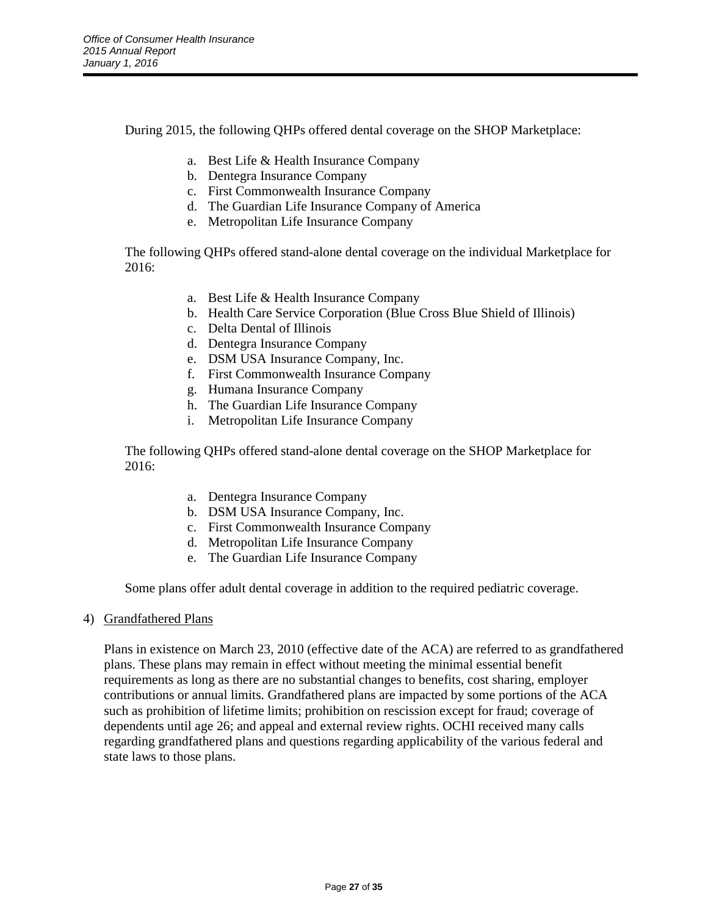During 2015, the following QHPs offered dental coverage on the SHOP Marketplace:

- a. Best Life & Health Insurance Company
- b. Dentegra Insurance Company
- c. First Commonwealth Insurance Company
- d. The Guardian Life Insurance Company of America
- e. Metropolitan Life Insurance Company

The following QHPs offered stand-alone dental coverage on the individual Marketplace for 2016:

- a. Best Life & Health Insurance Company
- b. Health Care Service Corporation (Blue Cross Blue Shield of Illinois)
- c. Delta Dental of Illinois
- d. Dentegra Insurance Company
- e. DSM USA Insurance Company, Inc.
- f. First Commonwealth Insurance Company
- g. Humana Insurance Company
- h. The Guardian Life Insurance Company
- i. Metropolitan Life Insurance Company

The following QHPs offered stand-alone dental coverage on the SHOP Marketplace for 2016:

- a. Dentegra Insurance Company
- b. DSM USA Insurance Company, Inc.
- c. First Commonwealth Insurance Company
- d. Metropolitan Life Insurance Company
- e. The Guardian Life Insurance Company

Some plans offer adult dental coverage in addition to the required pediatric coverage.

4) Grandfathered Plans

Plans in existence on March 23, 2010 (effective date of the ACA) are referred to as grandfathered plans. These plans may remain in effect without meeting the minimal essential benefit requirements as long as there are no substantial changes to benefits, cost sharing, employer contributions or annual limits. Grandfathered plans are impacted by some portions of the ACA such as prohibition of lifetime limits; prohibition on rescission except for fraud; coverage of dependents until age 26; and appeal and external review rights. OCHI received many calls regarding grandfathered plans and questions regarding applicability of the various federal and state laws to those plans.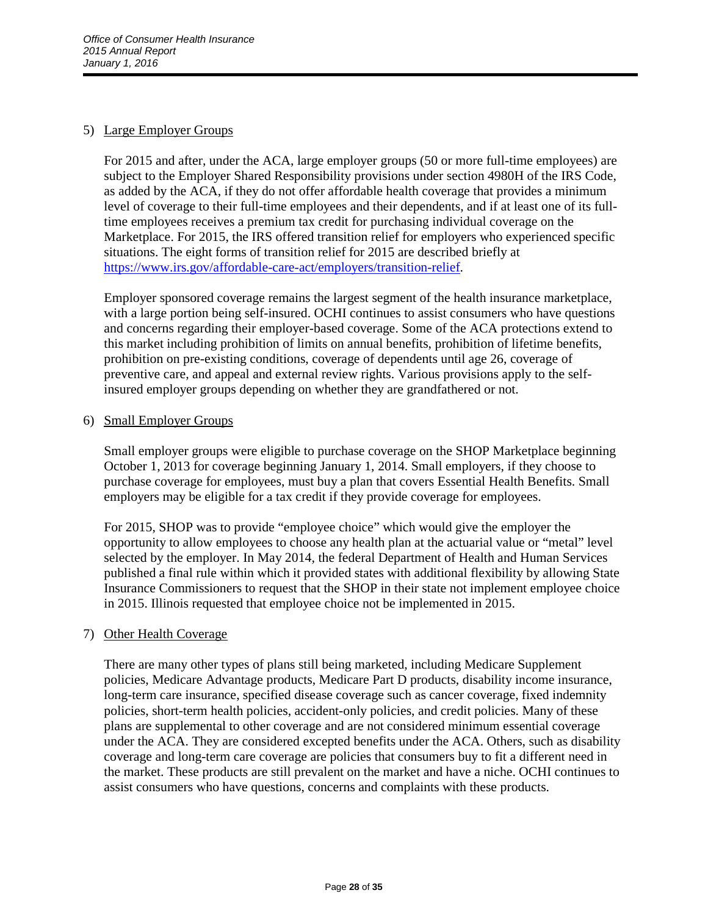# 5) Large Employer Groups

For 2015 and after, under the ACA, large employer groups (50 or more full-time employees) are subject to the Employer Shared Responsibility provisions under section 4980H of the IRS Code, as added by the ACA, if they do not offer affordable health coverage that provides a minimum level of coverage to their full-time employees and their dependents, and if at least one of its fulltime employees receives a premium tax credit for purchasing individual coverage on the Marketplace. For 2015, the IRS offered transition relief for employers who experienced specific situations. The eight forms of transition relief for 2015 are described briefly at [https://www.irs.gov/affordable-care-act/employers/transition-relief.](https://www.irs.gov/affordable-care-act/employers/transition-relief)

Employer sponsored coverage remains the largest segment of the health insurance marketplace, with a large portion being self-insured. OCHI continues to assist consumers who have questions and concerns regarding their employer-based coverage. Some of the ACA protections extend to this market including prohibition of limits on annual benefits, prohibition of lifetime benefits, prohibition on pre-existing conditions, coverage of dependents until age 26, coverage of preventive care, and appeal and external review rights. Various provisions apply to the selfinsured employer groups depending on whether they are grandfathered or not.

### 6) Small Employer Groups

Small employer groups were eligible to purchase coverage on the SHOP Marketplace beginning October 1, 2013 for coverage beginning January 1, 2014. Small employers, if they choose to purchase coverage for employees, must buy a plan that covers Essential Health Benefits. Small employers may be eligible for a tax credit if they provide coverage for employees.

For 2015, SHOP was to provide "employee choice" which would give the employer the opportunity to allow employees to choose any health plan at the actuarial value or "metal" level selected by the employer. In May 2014, the federal Department of Health and Human Services published a final rule within which it provided states with additional flexibility by allowing State Insurance Commissioners to request that the SHOP in their state not implement employee choice in 2015. Illinois requested that employee choice not be implemented in 2015.

### 7) Other Health Coverage

There are many other types of plans still being marketed, including Medicare Supplement policies, Medicare Advantage products, Medicare Part D products, disability income insurance, long-term care insurance, specified disease coverage such as cancer coverage, fixed indemnity policies, short-term health policies, accident-only policies, and credit policies. Many of these plans are supplemental to other coverage and are not considered minimum essential coverage under the ACA. They are considered excepted benefits under the ACA. Others, such as disability coverage and long-term care coverage are policies that consumers buy to fit a different need in the market. These products are still prevalent on the market and have a niche. OCHI continues to assist consumers who have questions, concerns and complaints with these products.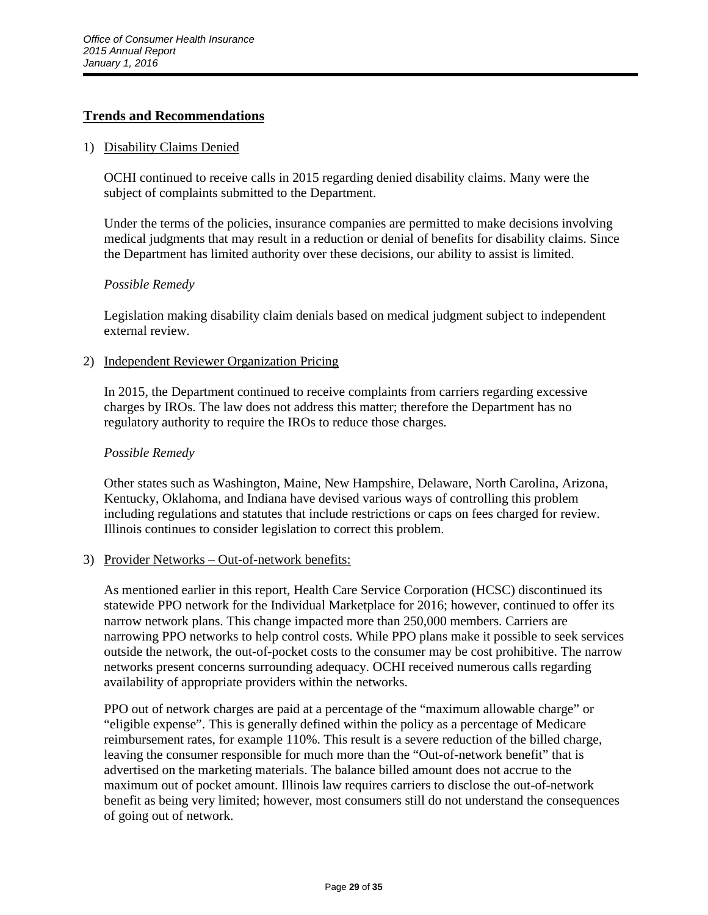## **Trends and Recommendations**

#### 1) Disability Claims Denied

OCHI continued to receive calls in 2015 regarding denied disability claims. Many were the subject of complaints submitted to the Department.

Under the terms of the policies, insurance companies are permitted to make decisions involving medical judgments that may result in a reduction or denial of benefits for disability claims. Since the Department has limited authority over these decisions, our ability to assist is limited.

### *Possible Remedy*

Legislation making disability claim denials based on medical judgment subject to independent external review.

### 2) Independent Reviewer Organization Pricing

In 2015, the Department continued to receive complaints from carriers regarding excessive charges by IROs. The law does not address this matter; therefore the Department has no regulatory authority to require the IROs to reduce those charges.

## *Possible Remedy*

Other states such as Washington, Maine, New Hampshire, Delaware, North Carolina, Arizona, Kentucky, Oklahoma, and Indiana have devised various ways of controlling this problem including regulations and statutes that include restrictions or caps on fees charged for review. Illinois continues to consider legislation to correct this problem.

### 3) Provider Networks – Out-of-network benefits:

As mentioned earlier in this report, Health Care Service Corporation (HCSC) discontinued its statewide PPO network for the Individual Marketplace for 2016; however, continued to offer its narrow network plans. This change impacted more than 250,000 members. Carriers are narrowing PPO networks to help control costs. While PPO plans make it possible to seek services outside the network, the out-of-pocket costs to the consumer may be cost prohibitive. The narrow networks present concerns surrounding adequacy. OCHI received numerous calls regarding availability of appropriate providers within the networks.

PPO out of network charges are paid at a percentage of the "maximum allowable charge" or "eligible expense". This is generally defined within the policy as a percentage of Medicare reimbursement rates, for example 110%. This result is a severe reduction of the billed charge, leaving the consumer responsible for much more than the "Out-of-network benefit" that is advertised on the marketing materials. The balance billed amount does not accrue to the maximum out of pocket amount. Illinois law requires carriers to disclose the out-of-network benefit as being very limited; however, most consumers still do not understand the consequences of going out of network.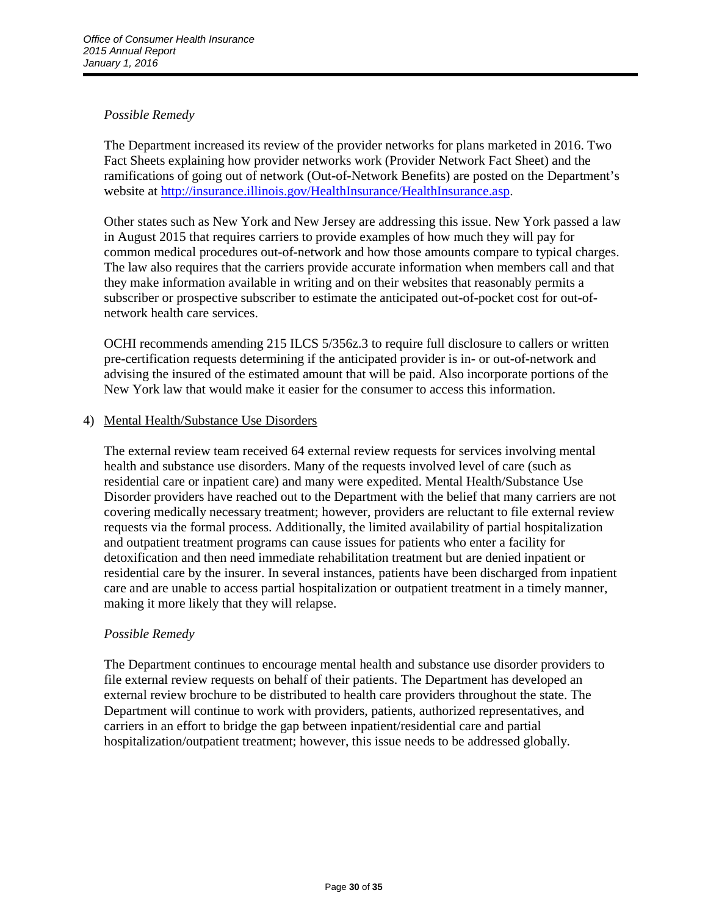# *Possible Remedy*

The Department increased its review of the provider networks for plans marketed in 2016. Two Fact Sheets explaining how provider networks work (Provider Network Fact Sheet) and the ramifications of going out of network (Out-of-Network Benefits) are posted on the Department's website at [http://insurance.illinois.gov/HealthInsurance/HealthInsurance.asp.](http://insurance.illinois.gov/HealthInsurance/HealthInsurance.asp)

Other states such as New York and New Jersey are addressing this issue. New York passed a law in August 2015 that requires carriers to provide examples of how much they will pay for common medical procedures out-of-network and how those amounts compare to typical charges. The law also requires that the carriers provide accurate information when members call and that they make information available in writing and on their websites that reasonably permits a subscriber or prospective subscriber to estimate the anticipated out-of-pocket cost for out-ofnetwork health care services.

OCHI recommends amending 215 ILCS 5/356z.3 to require full disclosure to callers or written pre-certification requests determining if the anticipated provider is in- or out-of-network and advising the insured of the estimated amount that will be paid. Also incorporate portions of the New York law that would make it easier for the consumer to access this information.

### 4) Mental Health/Substance Use Disorders

The external review team received 64 external review requests for services involving mental health and substance use disorders. Many of the requests involved level of care (such as residential care or inpatient care) and many were expedited. Mental Health/Substance Use Disorder providers have reached out to the Department with the belief that many carriers are not covering medically necessary treatment; however, providers are reluctant to file external review requests via the formal process. Additionally, the limited availability of partial hospitalization and outpatient treatment programs can cause issues for patients who enter a facility for detoxification and then need immediate rehabilitation treatment but are denied inpatient or residential care by the insurer. In several instances, patients have been discharged from inpatient care and are unable to access partial hospitalization or outpatient treatment in a timely manner, making it more likely that they will relapse.

### *Possible Remedy*

The Department continues to encourage mental health and substance use disorder providers to file external review requests on behalf of their patients. The Department has developed an external review brochure to be distributed to health care providers throughout the state. The Department will continue to work with providers, patients, authorized representatives, and carriers in an effort to bridge the gap between inpatient/residential care and partial hospitalization/outpatient treatment; however, this issue needs to be addressed globally.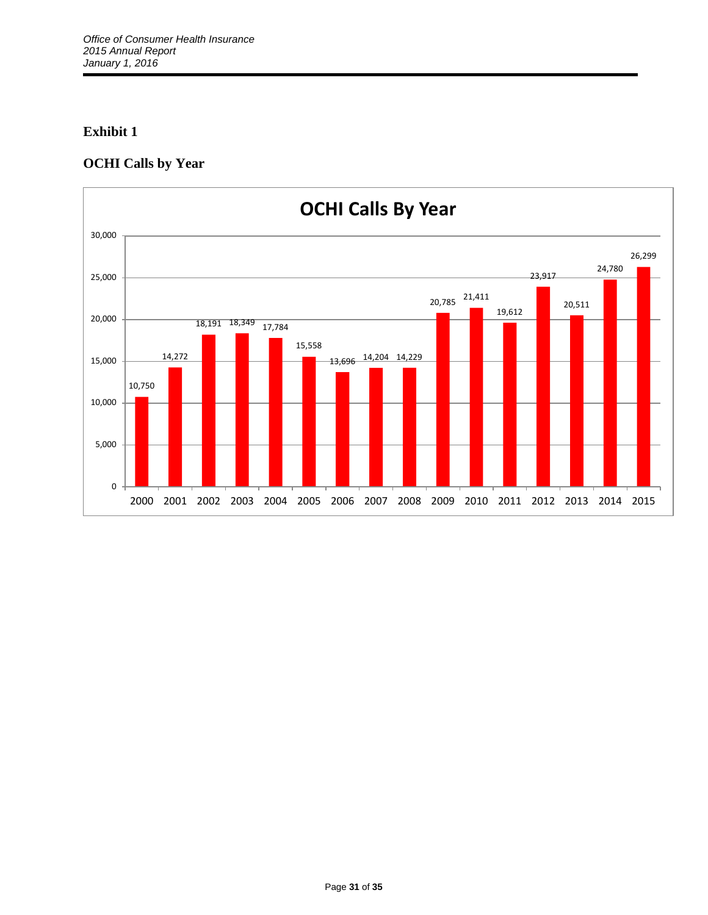# **OCHI Calls by Year**

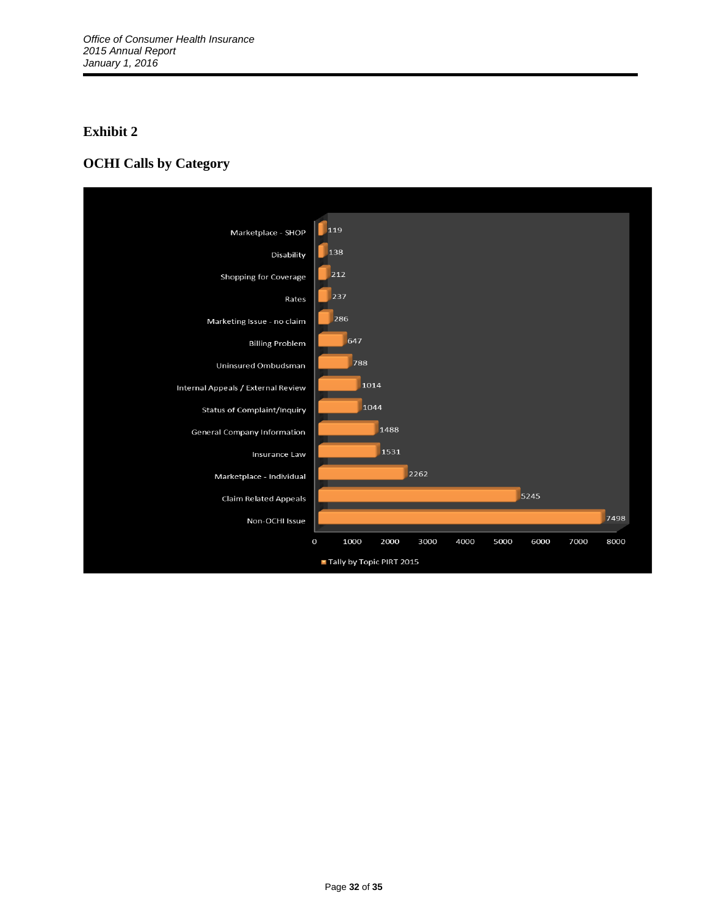# **OCHI Calls by Category**

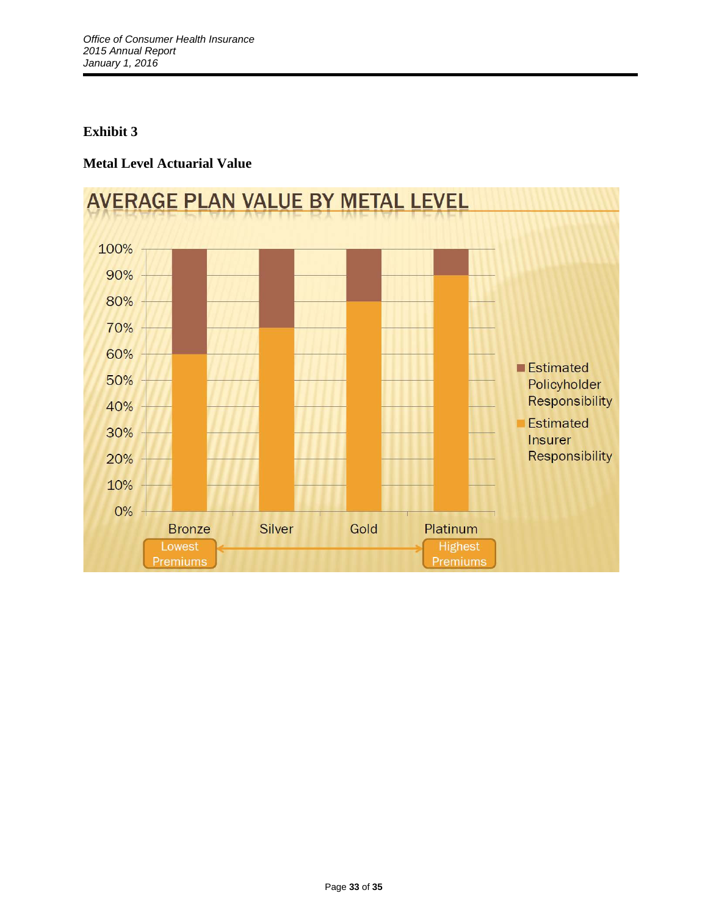# **Metal Level Actuarial Value**

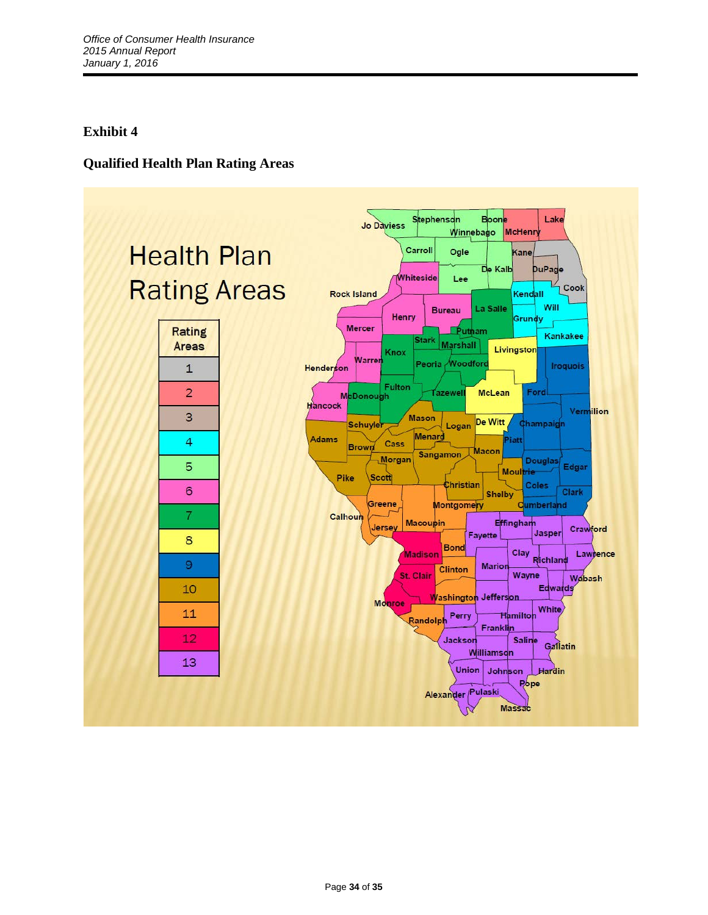# **Qualified Health Plan Rating Areas**